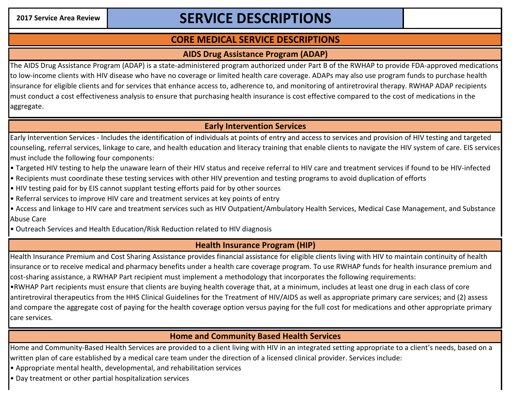# 2017 Service Area Review **No. 2017 SERVICE DESCRIPTIONS**

## **CORE MEDICAL SERVICE DESCRIPTIONS**

#### **AIDS Drug Assistance Program (ADAP)**

The AIDS Drug Assistance Program (ADAP) is a state-administered program authorized under Part B of the RWHAP to provide FDA-approved medications to low-income clients with HIV disease who have no coverage or limited health care coverage. ADAPs may also use program funds to purchase health insurance for eligible clients and for services that enhance access to, adherence to, and monitoring of antiretroviral therapy. RWHAP ADAP recipients must conduct a cost effectiveness analysis to ensure that purchasing health insurance is cost effective compared to the cost of medications in the aggregate.

### **Early Intervention Services**

Early Intervention Services - Includes the identification of individuals at points of entry and access to services and provision of HIV testing and targeted counseling, referral services, linkage to care, and health education and literacy training that enable clients to navigate the HIV system of care. EIS services must include the following four components:

- Targeted HIV testing to help the unaware learn of their HIV status and receive referral to HIV care and treatment services if found to be HIV-infected
- Recipients must coordinate these testing services with other HIV prevention and testing programs to avoid duplication of efforts
- HIV testing paid for by EIS cannot supplant testing efforts paid for by other sources
- Referral services to improve HIV care and treatment services at key points of entry
- Access and linkage to HIV care and treatment services such as HIV Outpatient/Ambulatory Health Services, Medical Case Management, and Substance Abuse Care
- Outreach Services and Health Education/Risk Reduction related to HIV diagnosis

## **Health Insurance Program (HIP)**

Health Insurance Premium and Cost Sharing Assistance provides financial assistance for eligible clients living with HIV to maintain continuity of health insurance or to receive medical and pharmacy benefits under a health care coverage program. To use RWHAP funds for health insurance premium and cost-sharing assistance, a RWHAP Part recipient must implement a methodology that incorporates the following requirements:

•RWHAP Part recipients must ensure that clients are buying health coverage that, at a minimum, includes at least one drug in each class of core antiretroviral therapeutics from the HHS Clinical Guidelines for the Treatment of HIV/AIDS as well as appropriate primary care services; and (2) assess and compare the aggregate cost of paying for the health coverage option versus paying for the full cost for medications and other appropriate primary care services.

### **Home and Community Based Health Services**

Home and Community-Based Health Services are provided to a client living with HIV in an integrated setting appropriate to a client's needs, based on a written plan of care established by a medical care team under the direction of a licensed clinical provider. Services include:

- Appropriate mental health, developmental, and rehabilitation services
- Day treatment or other partial hospitalization services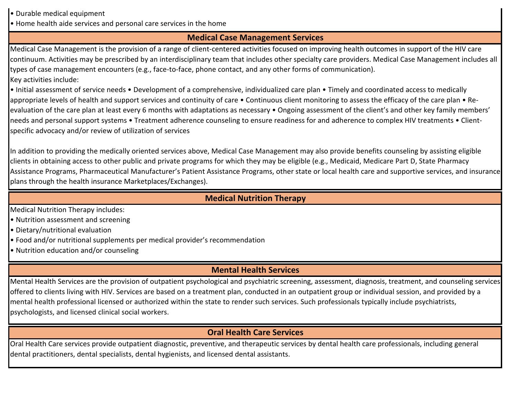- Durable medical equipment
- Home health aide services and personal care services in the home

### **Medical Case Management Services**

Medical Case Management is the provision of a range of client-centered activities focused on improving health outcomes in support of the HIV care continuum. Activities may be prescribed by an interdisciplinary team that includes other specialty care providers. Medical Case Management includes all types of case management encounters (e.g., face-to-face, phone contact, and any other forms of communication). Key activities include:

• Initial assessment of service needs • Development of a comprehensive, individualized care plan • Timely and coordinated access to medically appropriate levels of health and support services and continuity of care • Continuous client monitoring to assess the efficacy of the care plan • Reevaluation of the care plan at least every 6 months with adaptations as necessary • Ongoing assessment of the client's and other key family members' needs and personal support systems • Treatment adherence counseling to ensure readiness for and adherence to complex HIV treatments • Clientspecific advocacy and/or review of utilization of services

In addition to providing the medically oriented services above, Medical Case Management may also provide benefits counseling by assisting eligible clients in obtaining access to other public and private programs for which they may be eligible (e.g., Medicaid, Medicare Part D, State Pharmacy Assistance Programs, Pharmaceutical Manufacturer's Patient Assistance Programs, other state or local health care and supportive services, and insurance plans through the health insurance Marketplaces/Exchanges).

#### **Medical Nutrition Therapy**

Medical Nutrition Therapy includes:

- Nutrition assessment and screening
- Dietary/nutritional evaluation
- Food and/or nutritional supplements per medical provider's recommendation
- Nutrition education and/or counseling

## **Mental Health Services**

Mental Health Services are the provision of outpatient psychological and psychiatric screening, assessment, diagnosis, treatment, and counseling services offered to clients living with HIV. Services are based on a treatment plan, conducted in an outpatient group or individual session, and provided by a mental health professional licensed or authorized within the state to render such services. Such professionals typically include psychiatrists, psychologists, and licensed clinical social workers.

## **Oral Health Care Services**

Oral Health Care services provide outpatient diagnostic, preventive, and therapeutic services by dental health care professionals, including general dental practitioners, dental specialists, dental hygienists, and licensed dental assistants.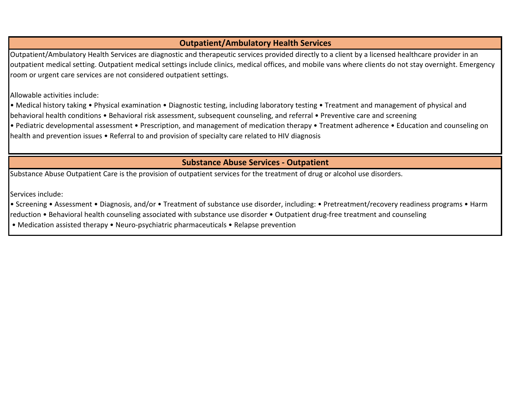### **Outpatient/Ambulatory Health Services**

Outpatient/Ambulatory Health Services are diagnostic and therapeutic services provided directly to a client by a licensed healthcare provider in an outpatient medical setting. Outpatient medical settings include clinics, medical offices, and mobile vans where clients do not stay overnight. Emergency room or urgent care services are not considered outpatient settings.

Allowable activities include:

• Medical history taking • Physical examination • Diagnostic testing, including laboratory testing • Treatment and management of physical and behavioral health conditions • Behavioral risk assessment, subsequent counseling, and referral • Preventive care and screening

• Pediatric developmental assessment • Prescription, and management of medication therapy • Treatment adherence • Education and counseling on health and prevention issues • Referral to and provision of specialty care related to HIV diagnosis

#### **Substance Abuse Services - Outpatient**

Substance Abuse Outpatient Care is the provision of outpatient services for the treatment of drug or alcohol use disorders.

Services include:

• Screening • Assessment • Diagnosis, and/or • Treatment of substance use disorder, including: • Pretreatment/recovery readiness programs • Harm

reduction • Behavioral health counseling associated with substance use disorder • Outpatient drug-free treatment and counseling

• Medication assisted therapy • Neuro-psychiatric pharmaceuticals • Relapse prevention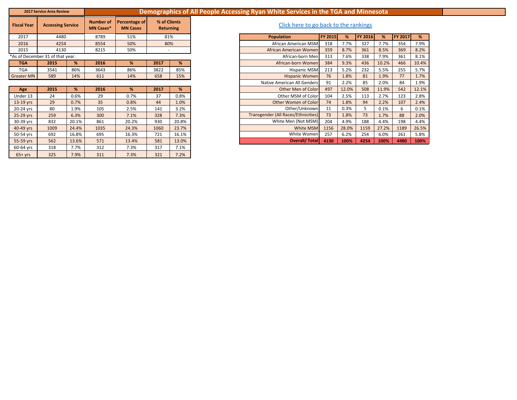| <b>2017 Service Area Review</b> |  |
|---------------------------------|--|
|---------------------------------|--|

#### **2017 Service Area Review Demographics of All People Accessing Ryan White Services in the TGA and Minnesota**

| <b>Fiscal Year</b> | <b>Accessing Service</b>         |     | <b>Number of</b><br><b>MN Cases*</b> | Percentage of<br><b>MN Cases</b> | % of Clients<br><b>Returning</b> |     |
|--------------------|----------------------------------|-----|--------------------------------------|----------------------------------|----------------------------------|-----|
| 2017               | 4480                             |     | 8789                                 | 51%                              | 81%                              |     |
| 2016               | 4254                             |     | 8554                                 | 50%                              | 80%                              |     |
| 2015               | 4130                             |     | 8215                                 | 50%                              |                                  |     |
|                    | *As of December 31 of that year. |     |                                      |                                  |                                  |     |
| <b>TGA</b>         | 2015                             | %   | 2016                                 | %                                | 2017                             | %   |
| <b>TGA</b>         | 3541                             | 86% | 3643                                 | 86%                              | 3822                             | 85% |
| <b>Greater MN</b>  | 589                              | 14% | 611                                  | 14%                              | 658                              | 15% |

| Age       | 2015 | %     | 2016 | %     | 2017 | %     |
|-----------|------|-------|------|-------|------|-------|
| Under 13  | 24   | 0.6%  | 29   | 0.7%  | 37   | 0.8%  |
| 13-19 yrs | 29   | 0.7%  | 35   | 0.8%  | 44   | 1.0%  |
| 20-24 yrs | 80   | 1.9%  | 105  | 2.5%  | 141  | 3.2%  |
| 25-29 yrs | 259  | 6.3%  | 300  | 7.1%  | 328  | 7.3%  |
| 30-39 yrs | 832  | 20.1% | 861  | 20.2% | 930  | 20.8% |
| 40-49 yrs | 1009 | 24.4% | 1035 | 24.3% | 1060 | 23.7% |
| 50-54 yrs | 692  | 16.8% | 695  | 16.3% | 721  | 16.1% |
| 55-59 yrs | 562  | 13.6% | 571  | 13.4% | 581  | 13.0% |
| 60-64 yrs | 318  | 7.7%  | 312  | 7.3%  | 317  | 7.1%  |
| $65+vrs$  | 325  | 7.9%  | 311  | 7.3%  | 321  | 7.2%  |

#### **Click here to go back to the rankings**

| 2017       | 4480                             |       | 8789 | 51%   | 81%  |       |
|------------|----------------------------------|-------|------|-------|------|-------|
| 2016       | 4254                             |       | 8554 | 50%   | 80%  |       |
| 2015       | 4130                             |       | 8215 | 50%   |      |       |
|            | *As of December 31 of that year. |       |      |       |      |       |
| <b>TGA</b> | 2015                             | %     | 2016 | %     | 2017 | %     |
| <b>TGA</b> | 3541                             | 86%   | 3643 | 86%   | 3822 | 85%   |
| Greater MN | 589                              | 14%   | 611  | 14%   | 658  | 15%   |
|            |                                  |       |      |       |      |       |
| Age        | 2015                             | %     | 2016 | %     | 2017 | %     |
| Under 13   | 24                               | 0.6%  | 29   | 0.7%  | 37   | 0.8%  |
| 13-19 yrs  | 29                               | 0.7%  | 35   | 0.8%  | 44   | 1.0%  |
| 20-24 yrs  | 80                               | 1.9%  | 105  | 2.5%  | 141  | 3.2%  |
| 25-29 yrs  | 259                              | 6.3%  | 300  | 7.1%  | 328  | 7.3%  |
| 30-39 yrs  | 832                              | 20.1% | 861  | 20.2% | 930  | 20.8% |
| 40-49 yrs  | 1009                             | 24.4% | 1035 | 24.3% | 1060 | 23.7% |
| 50-54 yrs  | 692                              | 16.8% | 695  | 16.3% | 721  | 16.1% |
| 55-59 yrs  | 562                              | 13.6% | 571  | 13.4% | 581  | 13.0% |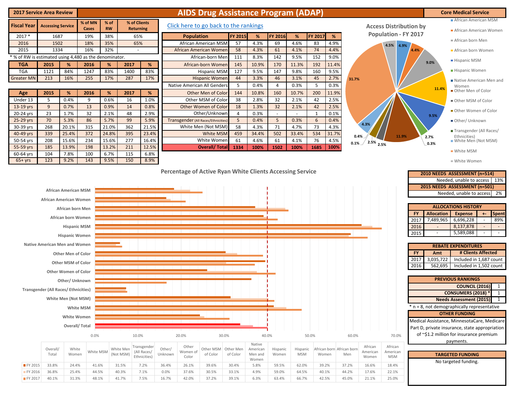| <b>2017 Service Area Review</b>                        |                                                                |                                                                                 |                |               |                        |                  |                   |                   | <b>AIDS Drug Assistance Program (ADAP)</b>                |                       |                     |                   |                        |              |                                    |                                  |                                                              |                                                                                                           | <b>Core Medical Service</b>                                                                                                                           |
|--------------------------------------------------------|----------------------------------------------------------------|---------------------------------------------------------------------------------|----------------|---------------|------------------------|------------------|-------------------|-------------------|-----------------------------------------------------------|-----------------------|---------------------|-------------------|------------------------|--------------|------------------------------------|----------------------------------|--------------------------------------------------------------|-----------------------------------------------------------------------------------------------------------|-------------------------------------------------------------------------------------------------------------------------------------------------------|
| <b>Fiscal Year</b>                                     | <b>Accessing Service</b>                                       |                                                                                 | % of MN        | % of          |                        | % of Clients     |                   |                   | Click here to go back to the rankings                     |                       |                     |                   |                        |              |                                    |                                  |                                                              |                                                                                                           | African American MSM                                                                                                                                  |
|                                                        |                                                                |                                                                                 | Cases          | <b>RW</b>     |                        | <b>Returning</b> |                   |                   |                                                           |                       |                     |                   |                        |              |                                    |                                  | <b>Access Distribution by</b><br><b>Population - FY 2017</b> |                                                                                                           | African American Women                                                                                                                                |
| $2017 *$                                               | 1687                                                           |                                                                                 | 19%            | 38%           |                        | 65%              |                   | <b>Population</b> |                                                           | FY 2015               | %                   | <b>FY 2016</b>    | $\%$                   | FY 2017      | %                                  |                                  |                                                              |                                                                                                           | African born Men                                                                                                                                      |
| 2016<br>2015                                           | 1502<br>1334                                                   |                                                                                 | 18%<br>16%     | 35%<br>32%    |                        | 65%              |                   |                   | African American MSM<br>African American Women            | 57<br>58              | 4.3%<br>4.3%        | 69<br>61          | 4.6%<br>4.1%           | 83<br>74     | 4.9%<br>4.4%                       |                                  | 4.5%<br>4.9%                                                 | 4.4%                                                                                                      | African born Women                                                                                                                                    |
| * % of RW is estimated using 4,480 as the denominator. |                                                                |                                                                                 |                |               |                        |                  |                   |                   | African-born Men                                          | 111                   | 8.3%                | 142               | 9.5%                   | 152          | 9.0%                               |                                  |                                                              |                                                                                                           |                                                                                                                                                       |
| <b>TGA</b>                                             | 2015                                                           | %                                                                               | 2016           | %             | 2017                   | %                |                   |                   | African-born Women                                        | 145                   | 10.9%               | 170               | 11.3%                  | 192          | 11.4%                              |                                  |                                                              | 9.0%                                                                                                      | ■ Hispanic MSM                                                                                                                                        |
| <b>TGA</b>                                             | 1121                                                           | 84%                                                                             | 1247           | 83%           | 1400                   | 83%              |                   |                   | <b>Hispanic MSM</b>                                       | 127                   | 9.5%                | 147               | 9.8%                   | 160          | 9.5%                               |                                  |                                                              |                                                                                                           | Hispanic Women                                                                                                                                        |
| <b>Greater MN</b>                                      | 213                                                            | 16%                                                                             | 255            | 17%           | 287                    | 17%              |                   |                   | <b>Hispanic Women</b>                                     | 44                    | 3.3%                | 46                | 3.1%                   | 45           | 2.7%                               | 31.7%                            |                                                              |                                                                                                           | Native American Men and                                                                                                                               |
|                                                        |                                                                |                                                                                 |                |               |                        |                  |                   |                   | Native American All Genders                               | 5                     | 0.4%                | $\overline{4}$    | 0.3%                   | 5            | 0.3%                               |                                  |                                                              | 11.4%                                                                                                     | Women                                                                                                                                                 |
| Age                                                    | 2015                                                           | %                                                                               | 2016           | %             | 2017                   | %                |                   |                   | Other Men of Color                                        | 144                   | 10.8%               | 160               | 10.7%                  | 200          | 11.9%                              |                                  |                                                              |                                                                                                           | Other Men of Color                                                                                                                                    |
| Under 13                                               | 5                                                              | 0.4%                                                                            | 9              | 0.6%          | 16                     | 1.0%             |                   |                   | Other MSM of Color                                        | 38                    | 2.8%                | 32                | 2.1%                   | 42           | 2.5%                               |                                  |                                                              |                                                                                                           | Other MSM of Color                                                                                                                                    |
| 13-19 yrs                                              | 9                                                              | 0.7%                                                                            | 13             | 0.9%          | 14                     | 0.8%             |                   |                   | <b>Other Women of Color</b>                               | 18                    | 1.3%                | 32                | 2.1%                   | 42           | 2.5%                               |                                  |                                                              |                                                                                                           | Other Women of Color                                                                                                                                  |
| 20-24 yrs                                              | 23                                                             | 1.7%                                                                            | 32             | 2.1%          | 48                     | 2.9%             |                   |                   | Other/Unknown                                             | $\overline{4}$        | 0.3%                | $\sim$            | $\sim$                 | $\mathbf{1}$ | 0.1%                               |                                  |                                                              | 9.5%                                                                                                      |                                                                                                                                                       |
| 25-29 yrs<br>30-39 yrs                                 | 70<br>268                                                      | 5.3%<br>20.1%                                                                   | 86<br>315      | 5.7%<br>21.0% | 99<br>362              | 5.9%<br>21.5%    |                   |                   | Transgender (All Races/Ethnicities<br>White Men (Not MSM) | 5<br>58               | 0.4%                | 5                 | 0.3%<br>4.7%           | 6<br>73      | 0.4%<br>4.3%                       | 4.3%                             |                                                              |                                                                                                           | Other/ Unknown                                                                                                                                        |
| 40-49 yrs                                              | 339                                                            | 25.4%                                                                           | 372            | 24.8%         | 395                    | 23.4%            |                   |                   | White MSM                                                 | 459                   | 4.3%<br>34.4%       | 71<br>502         | 33.4%                  | 534          | 31.7%                              |                                  |                                                              |                                                                                                           | Transgender (All Races/                                                                                                                               |
| 50-54 yrs                                              | 208                                                            | 15.6%                                                                           | 234            | 15.6%         | 277                    | 16.4%            |                   |                   | White Women                                               | 61                    | 4.6%                | 61                | 4.1%                   | 76           | 4.5%                               | 0.4%                             | 11.9%                                                        | 2.7%                                                                                                      | Ethnicities)<br>White Men (Not MSM)                                                                                                                   |
| 55-59 yrs                                              | 185                                                            | 13.9%                                                                           | 198            | 13.2%         | 211                    | 12.5%            |                   |                   | <b>Overall/Total</b>                                      | 1334                  | 100%                | 1502              | 100%                   | 1685         | 100%                               | 0.1%                             | 2.5% 2.5%                                                    | 0.3%                                                                                                      |                                                                                                                                                       |
| 60-64 yrs                                              | 104                                                            | 7.8%                                                                            | 100            | 6.7%          | 115                    | 6.8%             |                   |                   |                                                           |                       |                     |                   |                        |              |                                    |                                  |                                                              |                                                                                                           | <b>White MSM</b>                                                                                                                                      |
| $65+yrs$                                               | 123                                                            | 9.2%                                                                            | 143            | 9.5%          | 150                    | 8.9%             |                   |                   |                                                           |                       |                     |                   |                        |              |                                    |                                  |                                                              |                                                                                                           | ■ White Women                                                                                                                                         |
|                                                        | African American Women<br><b>Native American Men and Women</b> | African born Men<br>African born Women<br><b>Hispanic MSM</b><br>Hispanic Women |                |               |                        |                  |                   |                   |                                                           |                       |                     |                   |                        |              |                                    |                                  |                                                              | <b>Allocation</b><br><b>FY</b><br>7,489,965<br>2017<br>2016<br>$\overline{\phantom{a}}$<br>2015<br>$\sim$ | Needed, unable to access<br>2%<br><b>ALLOCATIONS HISTORY</b><br><b>Spent</b><br><b>Expense</b><br>$+ -$<br>6,696,228<br>89%<br>8,137,878<br>5,589,088 |
|                                                        |                                                                | <b>Other Men of Color</b>                                                       |                |               |                        |                  |                   |                   |                                                           |                       |                     |                   |                        |              |                                    |                                  |                                                              | FY<br>Amt                                                                                                 | <b>REBATE EXPENDITURES</b><br># Clients Affected                                                                                                      |
|                                                        |                                                                |                                                                                 |                |               |                        |                  |                   |                   |                                                           |                       |                     |                   |                        |              |                                    |                                  |                                                              | 2017<br>3,035,722                                                                                         | Included in 1,687 count                                                                                                                               |
|                                                        |                                                                | Other MSM of Color                                                              |                |               |                        |                  |                   |                   |                                                           |                       |                     |                   |                        |              |                                    |                                  |                                                              | 2016<br>562,695                                                                                           | Included in 1,502 count                                                                                                                               |
|                                                        |                                                                | <b>Other Women of Color</b>                                                     |                |               |                        |                  |                   |                   |                                                           |                       |                     |                   |                        |              |                                    |                                  |                                                              |                                                                                                           |                                                                                                                                                       |
|                                                        |                                                                | Other/ Unknown                                                                  |                |               |                        |                  |                   |                   |                                                           |                       |                     |                   |                        |              |                                    |                                  |                                                              |                                                                                                           | <b>PREVIOUS RANKINGS</b>                                                                                                                              |
|                                                        | <b>Transgender (All Races/ Ethnicities)</b>                    |                                                                                 |                |               |                        |                  |                   |                   |                                                           |                       |                     |                   |                        |              |                                    |                                  |                                                              |                                                                                                           | <b>COUNCIL (2016)</b><br>1<br>$\mathbf{1}$<br><b>CONSUMERS (2018) *</b>                                                                               |
|                                                        |                                                                | White Men (Not MSM)                                                             |                |               |                        |                  |                   |                   |                                                           |                       |                     |                   |                        |              |                                    |                                  |                                                              |                                                                                                           | Needs Assessment (2015) 1                                                                                                                             |
|                                                        |                                                                |                                                                                 | White MSM      |               |                        |                  |                   |                   |                                                           |                       |                     |                   |                        |              |                                    |                                  |                                                              |                                                                                                           | * n = 8, not demographically representative                                                                                                           |
|                                                        |                                                                | White Women                                                                     |                |               |                        |                  |                   |                   |                                                           |                       |                     |                   |                        |              |                                    |                                  |                                                              |                                                                                                           | <b>OTHER FUNDING</b>                                                                                                                                  |
|                                                        |                                                                |                                                                                 |                |               |                        |                  |                   |                   |                                                           |                       |                     |                   |                        |              |                                    |                                  |                                                              |                                                                                                           | Medical Assistance, MinnesotaCare, Medicare                                                                                                           |
|                                                        |                                                                |                                                                                 | Overall/Total  |               |                        |                  |                   |                   |                                                           |                       |                     |                   |                        |              |                                    |                                  |                                                              |                                                                                                           | Part D, private insurance, state appropriation                                                                                                        |
|                                                        |                                                                |                                                                                 | 0.0%           |               |                        | 10.0%            |                   | 20.0%             | 30.0%                                                     |                       |                     | 40.0%             |                        | 50.0%        |                                    | 60.0%                            | 70.0%                                                        |                                                                                                           | of ~\$1.2 million for insurance premium                                                                                                               |
|                                                        |                                                                |                                                                                 |                |               |                        | Transgender      |                   | Other             |                                                           |                       | Native              |                   |                        |              |                                    | African                          | African                                                      |                                                                                                           | payments.                                                                                                                                             |
|                                                        | Overall/<br>Total                                              | White<br>Women                                                                  | White MSM      |               | White Men<br>(Not MSM) | (All Races/      | Other/<br>Unknown | Women of          | Other MSM<br>of Color                                     | Other Men<br>of Color | American<br>Men and | Hispanic<br>Women | Hispanic<br><b>MSM</b> |              | African born African born<br>Women | American<br>Men                  | American                                                     |                                                                                                           | <b>TARGETED FUNDING</b>                                                                                                                               |
|                                                        |                                                                |                                                                                 |                |               |                        | Ethnicities)     |                   | Color             |                                                           |                       | Women               |                   |                        |              |                                    | Women                            | <b>MSM</b>                                                   |                                                                                                           | No targeted funding.                                                                                                                                  |
| FY 2015<br>FY 2016                                     | 33.8%<br>36.8%                                                 | 24.4%<br>25.4%                                                                  | 41.6%<br>44.5% |               | 31.5%<br>40.3%         | 7.2%<br>7.1%     | 36.4%<br>0.0%     | 26.1%<br>37.6%    | 39.6%<br>30.5%                                            | 30.4%<br>33.1%        | 5.8%<br>4.9%        | 59.5%<br>59.0%    | 62.0%<br>64.5%         | 39.2%        | 40.1%                              | 16.6%<br>37.2%<br>44.2%<br>17.6% | 18.4%<br>22.1%                                               |                                                                                                           |                                                                                                                                                       |
| FY 2017                                                | 40.1%                                                          | 31.3%                                                                           | 48.1%          |               | 41.7%                  | 7.5%             | 16.7%             | 42.0%             | 37.2%                                                     | 39.1%                 | 6.3%                | 63.4%             | 66.7%                  |              | 42.5%                              | 45.0%<br>21.1%                   | 25.0%                                                        |                                                                                                           |                                                                                                                                                       |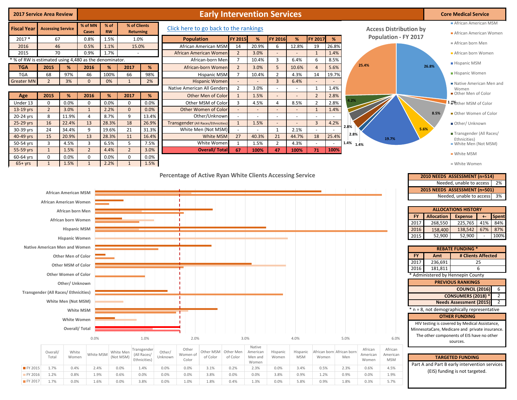| <b>2017 Service Area Review</b>                      |                                             |                             |                     |                   |                     |                                  |              |                   | <b>Early Intervention Services</b>                        |                                |                          |                          |                                  |                                  |                           |                   |                               |                                                | <b>Core Medical Service</b>                    |       |                |
|------------------------------------------------------|---------------------------------------------|-----------------------------|---------------------|-------------------|---------------------|----------------------------------|--------------|-------------------|-----------------------------------------------------------|--------------------------------|--------------------------|--------------------------|----------------------------------|----------------------------------|---------------------------|-------------------|-------------------------------|------------------------------------------------|------------------------------------------------|-------|----------------|
| <b>Fiscal Year</b>                                   | <b>Accessing Service</b>                    |                             | % of MN<br>Cases    | % of<br><b>RW</b> |                     | % of Clients<br><b>Returning</b> |              |                   | Click here to go back to the rankings                     |                                |                          |                          |                                  |                                  |                           |                   | <b>Access Distribution by</b> |                                                | African American MSM<br>African American Women |       |                |
| $2017*$                                              | 67                                          |                             | 0.8%                | 1.5%              |                     | 1.0%                             |              | <b>Population</b> |                                                           | FY 2015                        | %                        | FY 2016                  | %                                | FY 2017                          | %                         |                   | <b>Population - FY 2017</b>   |                                                |                                                |       |                |
| 2016                                                 | 46                                          |                             | 0.5%                | 1.1%              |                     | 15.0%                            |              |                   | African American MSM                                      | 14                             | 20.9%                    | 6                        | 12.8%                            | 19                               | 26.8%                     |                   |                               |                                                | African born Men                               |       |                |
| 2015                                                 | 70                                          |                             | 0.9%                | 1.7%              |                     |                                  |              |                   | African American Women                                    | $\overline{2}$                 | 3.0%                     | $\overline{\phantom{a}}$ | $\sim$                           | $\mathbf{1}$                     | 1.4%                      |                   |                               |                                                | African born Women                             |       |                |
| % of RW is estimated using 4,480 as the denominator. |                                             |                             |                     |                   |                     |                                  |              |                   | African-born Mer                                          | $\overline{7}$                 | 10.4%                    | 3                        | 6.4%                             | 6                                | 8.5%                      | 25.4%             |                               |                                                | ■ Hispanic MSM                                 |       |                |
| <b>TGA</b>                                           | 2015                                        | %                           | 2016                | %                 | 2017                | %                                |              |                   | African-born Women                                        | $\overline{2}$                 | 3.0%                     | 5                        | 10.6%                            | $\overline{4}$                   | 5.6%                      |                   |                               | 26.8%                                          |                                                |       |                |
| <b>TGA</b>                                           | 68                                          | 97%                         | 46                  | 100%              | 66                  | 98%                              |              |                   | <b>Hispanic MSM</b>                                       | $\overline{7}$                 | 10.4%                    | $\overline{2}$           | 4.3%                             | 14                               | 19.7%                     |                   |                               |                                                | Hispanic Women                                 |       |                |
| <b>Greater MN</b>                                    | $\overline{2}$                              | 3%                          | $\mathbf{0}$        | 0%                | $\mathbf{1}$        | 2%                               |              |                   | <b>Hispanic Women</b>                                     | $\overline{\phantom{a}}$       | $\sim$                   | $\overline{3}$           | 6.4%                             | $\blacksquare$                   |                           |                   |                               |                                                | Native American Men and                        |       |                |
|                                                      |                                             |                             |                     |                   |                     |                                  |              |                   | Native American All Genders<br>Other Men of Color         | $\overline{2}$                 | 3.0%                     | $\sim$                   | $\sim$                           | $\mathbf{1}$                     | 1.4%                      |                   |                               |                                                | Women<br>Other Men of Color                    |       |                |
| Age<br>Under 13                                      | 2015<br>$\mathbf 0$                         | %<br>0.0%                   | 2016<br>$\mathbf 0$ | %<br>0.0%         | 2017<br>$\mathbf 0$ | %<br>0.0%                        |              |                   | Other MSM of Color                                        | $\mathbf{1}$<br>$\overline{3}$ | 1.5%<br>4.5%             | $\overline{4}$           | $\overline{\phantom{a}}$<br>8.5% | $\overline{2}$<br>$\overline{2}$ | 2.8%<br>2.8%              | 1.2%              |                               |                                                |                                                |       |                |
| 13-19 yrs                                            | $\overline{2}$                              | 3.0%                        | $\mathbf{1}$        | 2.2%              | $\mathbf{0}$        | 0.0%                             |              |                   | Other Women of Color                                      | $\omega$                       | $\sim$                   | $\sim$                   | $\sim$                           | $\mathbf{1}$                     | 1.4%                      |                   |                               |                                                | 1.1% ther MSM of Color                         |       |                |
| 20-24 yrs                                            | 8                                           | 11.9%                       | 4                   | 8.7%              | 9                   | 13.4%                            |              |                   | Other/Unknown                                             | $\sim$                         | $\overline{\phantom{a}}$ | $\sim$                   | $\sim$                           | $\sim$                           |                           |                   |                               | 8.5%                                           | Other Women of Color                           |       |                |
| 25-29 yrs                                            | 16                                          | 22.4%                       | 13                  | 28.3%             | 18                  | 26.9%                            |              |                   | Transgender (All Races/Ethnicities)                       | 1                              | 1.5%                     | $\overline{\phantom{a}}$ | $\overline{\phantom{a}}$         | $\overline{3}$                   | 4.2%                      |                   |                               |                                                | Other/ Unknown                                 |       |                |
| 30-39 yrs                                            | 24                                          | 34.4%                       | 9                   | 19.6%             | 21                  | 31.3%                            |              |                   | White Men (Not MSM)                                       |                                | $\sim$                   | 1                        | 2.1%                             | $\sim$                           |                           | 2.8%              |                               | 5.6%                                           |                                                |       |                |
| 40-49 yrs                                            | 15                                          | 20.9%                       | 13                  | 28.3%             | 11                  | 16.4%                            |              |                   | White MSM                                                 | 27                             | 40.3%                    | 21                       | 44.7%                            | 18                               | 25.4%                     | 2.8%              | 19.7%                         |                                                | Transgender (All Races/<br>Ethnicities)        |       |                |
| 50-54 yrs                                            | $\overline{3}$                              | 4.5%                        | 3                   | 6.5%              | 5                   | 7.5%                             |              |                   | White Women                                               | $\mathbf{1}$                   | 1.5%                     | $\overline{2}$           | 4.3%                             | $\sim$                           | $\sim$                    | $1.4\%$ 1.4%      |                               |                                                | White Men (Not MSM)                            |       |                |
| 55-59 yrs                                            | 1                                           | 1.5%                        | $\overline{2}$      | 4.4%              | $\overline{2}$      | 3.0%                             |              |                   | <b>Overall/ Total</b>                                     | 67                             | 100%                     | 47                       | 100%                             | 71                               | 100%                      |                   |                               |                                                | ■ White MSM                                    |       |                |
| 60-64 yrs                                            | $\mathbf 0$                                 | 0.0%                        | 0                   | 0.0%              | $\mathbf 0$         | 0.0%                             |              |                   |                                                           |                                |                          |                          |                                  |                                  |                           |                   |                               |                                                |                                                |       |                |
| $65+yrs$                                             | $\mathbf{1}$                                | 1.5%                        | $\mathbf{1}$        | 2.2%              | $\mathbf{1}$        | 1.5%                             |              |                   |                                                           |                                |                          |                          |                                  |                                  |                           |                   |                               |                                                | ■ White Women                                  |       |                |
|                                                      |                                             |                             |                     |                   |                     |                                  |              |                   | Percentage of Active Ryan White Clients Accessing Service |                                |                          |                          |                                  |                                  |                           |                   |                               |                                                |                                                |       |                |
|                                                      |                                             |                             |                     |                   |                     |                                  |              |                   |                                                           |                                |                          |                          |                                  |                                  |                           |                   |                               | 2010 NEEDS ASSESSMENT (n=514)                  | Needed, unable to access                       |       | 2%             |
|                                                      |                                             |                             |                     |                   |                     |                                  |              |                   |                                                           |                                |                          |                          |                                  |                                  |                           |                   |                               | 2015 NEEDS ASSESSMENT (n=501)                  |                                                |       |                |
|                                                      |                                             | <b>African American MSM</b> |                     |                   |                     |                                  |              |                   |                                                           |                                |                          |                          |                                  |                                  |                           |                   |                               |                                                | Needed, unable to access                       |       | 3%             |
|                                                      | African American Women                      |                             |                     |                   |                     |                                  |              |                   |                                                           |                                |                          |                          |                                  |                                  |                           |                   |                               |                                                |                                                |       |                |
|                                                      |                                             | African born Men            |                     |                   |                     |                                  |              |                   |                                                           |                                |                          |                          |                                  |                                  |                           |                   |                               |                                                | <b>ALLOCATIONS HISTORY</b>                     |       |                |
|                                                      |                                             | African born Women          |                     |                   |                     |                                  |              |                   |                                                           |                                |                          |                          |                                  |                                  |                           |                   | FY.                           | <b>Allocation</b>                              | <b>Expense</b>                                 | $+ -$ | <b>Spent</b>   |
|                                                      |                                             |                             |                     |                   |                     |                                  |              |                   |                                                           |                                |                          |                          |                                  |                                  |                           |                   | 2017                          | 268,550                                        | 225,765                                        | 41%   | 84%            |
|                                                      |                                             | <b>Hispanic MSM</b>         |                     |                   |                     |                                  |              |                   |                                                           |                                |                          |                          |                                  |                                  |                           |                   | 2016                          | 158,400<br>52,900                              | 138,542                                        | 67%   | 87%<br>100%    |
|                                                      |                                             | <b>Hispanic Women</b>       |                     |                   |                     |                                  |              |                   |                                                           |                                |                          |                          |                                  |                                  |                           |                   | 2015                          |                                                | 52,900                                         |       |                |
|                                                      | <b>Native American Men and Women</b>        |                             |                     |                   |                     |                                  |              |                   |                                                           |                                |                          |                          |                                  |                                  |                           |                   |                               |                                                | <b>REBATE FUNDING *</b>                        |       |                |
|                                                      |                                             | <b>Other Men of Color</b>   |                     |                   |                     |                                  |              |                   |                                                           |                                |                          |                          |                                  |                                  |                           |                   | FY.                           | Amt                                            | # Clients Affected                             |       |                |
|                                                      |                                             |                             |                     |                   |                     |                                  |              |                   |                                                           |                                |                          |                          |                                  |                                  |                           |                   | 2017                          | 236,691                                        |                                                | 25    |                |
|                                                      |                                             | Other MSM of Color          |                     |                   |                     |                                  |              |                   |                                                           |                                |                          |                          |                                  |                                  |                           |                   | 2016                          | 181,811                                        |                                                | 6     |                |
|                                                      |                                             | <b>Other Women of Color</b> |                     |                   |                     |                                  |              |                   |                                                           |                                |                          |                          |                                  |                                  |                           |                   |                               | * Administered by Hennepin County              |                                                |       |                |
|                                                      |                                             | Other/ Unknown              |                     |                   |                     |                                  |              |                   |                                                           |                                |                          |                          |                                  |                                  |                           |                   |                               |                                                | <b>PREVIOUS RANKINGS</b>                       |       |                |
|                                                      | <b>Transgender (All Races/ Ethnicities)</b> |                             |                     |                   |                     |                                  |              |                   |                                                           |                                |                          |                          |                                  |                                  |                           |                   |                               |                                                | <b>COUNCIL (2016)</b>                          |       | 6              |
|                                                      |                                             | White Men (Not MSM)         |                     |                   |                     |                                  |              |                   |                                                           |                                |                          |                          |                                  |                                  |                           |                   |                               |                                                | <b>CONSUMERS (2018) *</b>                      |       | $\overline{2}$ |
|                                                      |                                             |                             |                     |                   |                     |                                  |              |                   |                                                           |                                |                          |                          |                                  |                                  |                           |                   |                               |                                                | Needs Assessment (2015) 2                      |       |                |
|                                                      |                                             |                             | White MSM           |                   |                     |                                  |              |                   |                                                           |                                |                          |                          |                                  |                                  |                           |                   |                               | * n = 8, not demographically representative    | <b>OTHER FUNDING</b>                           |       |                |
|                                                      |                                             | White Women                 |                     |                   |                     |                                  |              |                   |                                                           |                                |                          |                          |                                  |                                  |                           |                   |                               | HIV testing is covered by Medical Assistance,  |                                                |       |                |
|                                                      |                                             | Overall/Total               |                     |                   |                     |                                  |              |                   |                                                           |                                |                          |                          |                                  |                                  |                           |                   |                               | MinnesotaCare, Medicare and private insurance. |                                                |       |                |
|                                                      |                                             |                             |                     |                   |                     |                                  |              |                   |                                                           |                                |                          |                          |                                  |                                  |                           |                   |                               | The other components of EIS have no other      |                                                |       |                |
|                                                      |                                             |                             | 0.0%                |                   |                     | 1.0%                             |              | 2.0%              |                                                           | 3.0%                           |                          |                          | 4.0%                             |                                  | 5.0%                      |                   | 6.0%                          |                                                | sources.                                       |       |                |
|                                                      | Overall/                                    | White                       |                     |                   | White Men           | Transgender                      | Other/       | Other             | Other MSM                                                 | Other Men                      | Native<br>American       | Hispanic                 | Hispanic                         |                                  | African born African born | African           | African                       |                                                |                                                |       |                |
|                                                      | Total                                       | Women                       | White MSM           |                   | (Not MSM)           | (All Races/<br>Ethnicities)      | Unknown      | Women of<br>Color | of Color                                                  | of Color                       | Men and                  | Women                    | <b>MSM</b>                       | Women                            | Men                       | American<br>Women | American<br><b>MSM</b>        |                                                | <b>TARGETED FUNDING</b>                        |       |                |
| FY 2015                                              |                                             |                             |                     |                   |                     |                                  |              |                   |                                                           |                                | Women                    |                          |                                  |                                  |                           |                   |                               | Part A and Part B early intervention services  |                                                |       |                |
| FY 2016                                              | 1.7%<br>1.2%                                | 0.4%<br>0.8%                | 2.4%<br>1.9%        |                   | 0.0%<br>0.6%        | 1.4%<br>0.0%                     | 0.0%<br>0.0% | 0.0%<br>0.0%      | 3.1%<br>3.8%                                              | 0.2%<br>0.0%                   | 2.3%<br>0.0%             | 0.0%<br>3.8%             | 3.4%<br>0.9%                     | 0.5%<br>1.2%                     | 2.3%<br>0.9%              | 0.6%<br>0.0%      | 4.5%<br>1.9%                  |                                                | (EIS) funding is not targeted.                 |       |                |

FY 2017 1.7% 0.0% 1.6% 0.0% 3.8% 0.0% 1.0% 1.8% 0.4% 1.3% 0.0% 5.8% 0.9% 1.8% 0.3% 5.7%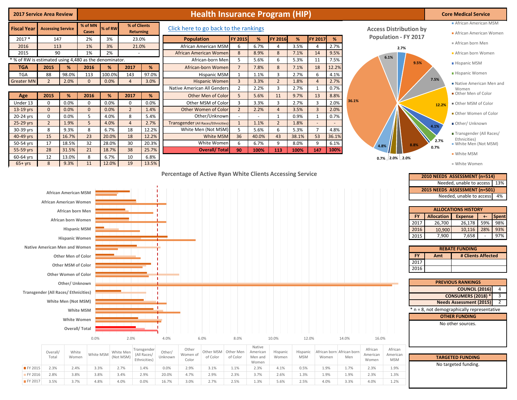| <b>2017 Service Area Review</b>                        |                                                         |                                                                                                                                                                                                     |                                                                |                |                   |                                   |                |                   | <b>Health Insurance Program (HIP)</b>    |                   |                          |                   |              |                      |                           |       |                               |                             |                                                                |                                                       | <b>Core Medical Service</b>                                                                                                                                                                                                   |                                                    |                                           |
|--------------------------------------------------------|---------------------------------------------------------|-----------------------------------------------------------------------------------------------------------------------------------------------------------------------------------------------------|----------------------------------------------------------------|----------------|-------------------|-----------------------------------|----------------|-------------------|------------------------------------------|-------------------|--------------------------|-------------------|--------------|----------------------|---------------------------|-------|-------------------------------|-----------------------------|----------------------------------------------------------------|-------------------------------------------------------|-------------------------------------------------------------------------------------------------------------------------------------------------------------------------------------------------------------------------------|----------------------------------------------------|-------------------------------------------|
| <b>Fiscal Year</b>                                     | <b>Accessing Service</b>                                |                                                                                                                                                                                                     | % of MN                                                        | % of RW        |                   | % of Clients                      |                |                   | Click here to go back to the rankings    |                   |                          |                   |              |                      |                           |       | <b>Access Distribution by</b> |                             |                                                                |                                                       | African American MSM                                                                                                                                                                                                          |                                                    |                                           |
| 2017 *                                                 | 147                                                     |                                                                                                                                                                                                     | Cases<br>2%                                                    | 3%             |                   | <b>Returning</b><br>23.0%         |                | <b>Population</b> |                                          | <b>FY 2015</b>    | %                        | FY 2016           | %            | FY 2017              | %                         |       |                               | <b>Population - FY 2017</b> |                                                                |                                                       | African American Women                                                                                                                                                                                                        |                                                    |                                           |
| 2016                                                   | 113                                                     |                                                                                                                                                                                                     | 1%                                                             | 3%             |                   | 21.0%                             |                |                   | African American MSM                     | 6                 | 6.7%                     | 4                 | 3.5%         | $\overline{4}$       | 2.7%                      |       |                               |                             |                                                                |                                                       | African born Men                                                                                                                                                                                                              |                                                    |                                           |
| 2015                                                   | 90                                                      |                                                                                                                                                                                                     | 1%                                                             | 2%             |                   |                                   |                |                   | African American Womer                   | 8                 | 8.9%                     | 8                 | 7.1%         | 14                   | 9.5%                      |       |                               | 2.7%                        |                                                                |                                                       | African born Women                                                                                                                                                                                                            |                                                    |                                           |
| * % of RW is estimated using 4,480 as the denominator. |                                                         |                                                                                                                                                                                                     |                                                                |                |                   |                                   |                |                   | African-born Men                         | 5                 | 5.6%                     | 6                 | 5.3%         | 11                   | 7.5%                      |       |                               | 6.1%                        | 9.5%                                                           |                                                       | ■ Hispanic MSM                                                                                                                                                                                                                |                                                    |                                           |
| <b>TGA</b>                                             | 2015                                                    | %                                                                                                                                                                                                   | 2016                                                           | %              | 2017              | %                                 |                |                   | African-born Women                       | $\overline{7}$    | 7.8%                     | $\,$ 8 $\,$       | 7.1%         | 18                   | 12.2%                     |       |                               |                             |                                                                |                                                       |                                                                                                                                                                                                                               |                                                    |                                           |
| <b>TGA</b>                                             | 88                                                      | 98.0%                                                                                                                                                                                               | 113                                                            | 100.0%         | 143               | 97.0%                             |                |                   | <b>Hispanic MSM</b>                      | 1                 | 1.1%                     | 3                 | 2.7%         | 6                    | 4.1%                      |       |                               |                             |                                                                |                                                       | Hispanic Women                                                                                                                                                                                                                |                                                    |                                           |
| <b>Greater MN</b>                                      | $\overline{2}$                                          | 2.0%                                                                                                                                                                                                | $\mathbf{0}$                                                   | 0.0%           | $\overline{4}$    | 3.0%                              |                |                   | <b>Hispanic Womer</b>                    | $\overline{3}$    | 3.3%                     | $\overline{2}$    | 1.8%         | $\overline{4}$       | 2.7%                      |       |                               |                             |                                                                | 7.5%                                                  | Native American Men and                                                                                                                                                                                                       |                                                    |                                           |
|                                                        |                                                         |                                                                                                                                                                                                     |                                                                |                |                   |                                   |                |                   | Native American All Genders              | $\overline{2}$    | 2.2%                     | 3                 | 2.7%         | 1                    | 0.7%                      |       |                               |                             |                                                                |                                                       | Women<br>Other Men of Color                                                                                                                                                                                                   |                                                    |                                           |
| Age<br>Under 13                                        | 2015<br>0                                               | %<br>0.0%                                                                                                                                                                                           | 2016<br>0                                                      | %<br>0.0%      | 2017<br>0         | %<br>0.0%                         |                |                   | Other Men of Color<br>Other MSM of Color | 5<br>3            | 5.6%<br>3.3%             | 11<br>3           | 9.7%<br>2.7% | 13<br>$\overline{3}$ | 8.8%<br>2.0%              | 36.1% |                               |                             |                                                                |                                                       |                                                                                                                                                                                                                               |                                                    |                                           |
| 13-19 yrs                                              | $\mathbf 0$                                             | 0.0%                                                                                                                                                                                                | $\mathbf 0$                                                    | 0.0%           | $\overline{2}$    | 1.4%                              |                |                   | Other Women of Color                     | $\overline{2}$    | 2.2%                     | $\overline{4}$    | 3.5%         | $\overline{3}$       | 2.0%                      |       |                               |                             |                                                                | 12.2%                                                 | Other MSM of Color                                                                                                                                                                                                            |                                                    |                                           |
| 20-24 yrs                                              | 0                                                       | 0.0%                                                                                                                                                                                                | 5                                                              | 4.0%           | 8                 | 5.4%                              |                |                   | Other/Unknowr                            |                   | $\overline{\phantom{a}}$ | $\mathbf{1}$      | 0.9%         | $\mathbf{1}$         | 0.7%                      |       |                               |                             |                                                                |                                                       | Other Women of Color                                                                                                                                                                                                          |                                                    |                                           |
| 25-29 yrs                                              | $\overline{2}$                                          | 1.9%                                                                                                                                                                                                | 5                                                              | 4.0%           | $\overline{4}$    | 2.7%                              |                |                   | Transgender (All Races/Ethnicities       | $\mathbf{1}$      | 1.1%                     | $\overline{2}$    | 1.8%         | $\sim$               |                           |       |                               |                             |                                                                | 4.1%                                                  | Other/Unknown                                                                                                                                                                                                                 |                                                    |                                           |
| 30-39 yrs                                              | 8                                                       | 9.3%                                                                                                                                                                                                | 8                                                              | 6.7%           | 18                | 12.2%                             |                |                   | White Men (Not MSM)                      | 5                 | 5.6%                     | 6                 | 5.3%         | $\overline{7}$       | 4.8%                      |       |                               |                             |                                                                |                                                       | Transgender (All Races/                                                                                                                                                                                                       |                                                    |                                           |
| 40-49 yrs                                              | 15                                                      | 16.7%                                                                                                                                                                                               | 23                                                             | 20.0%          | 18                | 12.2%                             |                |                   | White MSM                                | 36                | 40.0%                    | 43                | 38.1%        | 53                   | 36.1%                     |       |                               |                             |                                                                | 2.7%                                                  | Ethnicities)                                                                                                                                                                                                                  |                                                    |                                           |
| 50-54 yrs<br>55-59 yrs                                 | 17<br>28                                                | 18.5%<br>31.5%                                                                                                                                                                                      | 32<br>21                                                       | 28.0%<br>18.7% | 30<br>38          | 20.3%<br>25.7%                    |                |                   | White Women<br><b>Overall/Total</b>      | 6<br>90           | 6.7%<br>100%             | 9<br>113          | 8.0%<br>100% | 9<br>147             | 6.1%<br>100%              |       | 4.8%                          |                             | 8.8%                                                           | 0.7%                                                  | White Men (Not MSM)                                                                                                                                                                                                           |                                                    |                                           |
| 60-64 yrs                                              | 12                                                      | 13.0%                                                                                                                                                                                               | 8                                                              | 6.7%           | 10                | 6.8%                              |                |                   |                                          |                   |                          |                   |              |                      |                           |       |                               | $0.7\%$ 2.0% 2.0%           |                                                                |                                                       | ■ White MSM                                                                                                                                                                                                                   |                                                    |                                           |
| $65+yrs$                                               | 8                                                       | 9.3%                                                                                                                                                                                                | 11                                                             | 12.0%          | 19                | 13.5%                             |                |                   |                                          |                   |                          |                   |              |                      |                           |       |                               |                             |                                                                |                                                       | ■ White Women                                                                                                                                                                                                                 |                                                    |                                           |
|                                                        | <b>Native American Men and Women</b>                    | <b>African American MSM</b><br>African American Women<br>African born Men<br>African born Women<br><b>Hispanic Women</b><br><b>Other Men of Color</b><br>Other MSM of Color<br>Other Women of Color | <b>Hispanic MSM</b>                                            |                |                   |                                   |                |                   |                                          |                   |                          |                   |              |                      |                           |       |                               |                             | <b>FY</b><br>2017<br>2016<br>2015<br><b>FY</b><br>2017<br>2016 | <b>Allocation</b><br>26,700<br>10,900<br>7,900<br>Amt | Needed, unable to access   13%<br>2015 NEEDS ASSESSMENT (n=501)<br>Needed, unable to access<br><b>ALLOCATIONS HISTORY</b><br><b>Expense</b><br>26,178<br>10,116<br>7,658<br><b>REBATE FUNDING</b><br><b>PREVIOUS RANKINGS</b> | Spent<br>$+ -$<br>59%<br>28%<br># Clients Affected | 4%<br>98%<br>93%<br>97%                   |
|                                                        | <b>Transgender (All Races/ Ethnicities)</b><br>Overall/ | Other/ Unknown<br>White Men (Not MSM)<br>White                                                                                                                                                      | White MSM<br>White Women<br>Overall/Total<br>0.0%<br>White MSM |                | 2.0%<br>White Men | - 1<br>Transgender<br>(All Races/ | 4.0%<br>Other/ | Other<br>Women of | 6.0%<br>Other MSM                        | 8.0%<br>Other Men | Native<br>American       | 10.0%<br>Hispanic | Hispanic     | 12.0%                | African born African born | 14.0% | 16.0%<br>African<br>American  | African<br>American         |                                                                |                                                       | <b>COUNCIL (2016)</b><br><b>CONSUMERS (2018) *</b><br>Needs Assessment (2015) 2<br>$n = 8$ , not demographically representative<br><b>OTHER FUNDING</b><br>No other sources.                                                  |                                                    | $\overline{4}$<br>$\overline{\mathbf{3}}$ |
|                                                        | Total                                                   | Women                                                                                                                                                                                               |                                                                |                | (Not MSM)         | Ethnicities)                      | Unknown        | Color             | of Color                                 | of Color          | Men and<br>Women         | Women             | <b>MSM</b>   |                      | Women                     | Men   | Women                         | <b>MSM</b>                  |                                                                |                                                       | <b>TARGETED FUNDING</b>                                                                                                                                                                                                       |                                                    |                                           |
| FY 2015                                                | 2.3%                                                    | 2.4%                                                                                                                                                                                                | 3.3%                                                           |                | 2.7%              | 1.4%                              | 0.0%           | 2.9%              | 3.1%                                     | 1.1%              | 2.3%                     | 4.1%              | 0.5%         |                      | 1.9%                      | 1.7%  | 2.3%                          | 1.9%                        |                                                                |                                                       | No targeted funding.                                                                                                                                                                                                          |                                                    |                                           |
| FY 2016                                                | 2.8%                                                    | 3.8%                                                                                                                                                                                                | 3.8%                                                           |                | 3.4%              | 2.9%                              | 20.0%          | 4.7%              | 2.9%                                     | 2.3%              | 3.7%                     | 2.6%              | 1.3%         |                      | 1.9%                      | 1.9%  | 2.3%                          | 1.3%                        |                                                                |                                                       |                                                                                                                                                                                                                               |                                                    |                                           |
| FY 2017                                                | 3.5%                                                    | 3.7%                                                                                                                                                                                                | 4.8%                                                           |                | 4.0%              | 0.0%                              | 16.7%          | 3.0%              | 2.7%                                     | 2.5%              | 1.3%                     | 5.6%              | 2.5%         |                      | 4.0%                      | 3.3%  | 4.0%                          | 1.2%                        |                                                                |                                                       |                                                                                                                                                                                                                               |                                                    |                                           |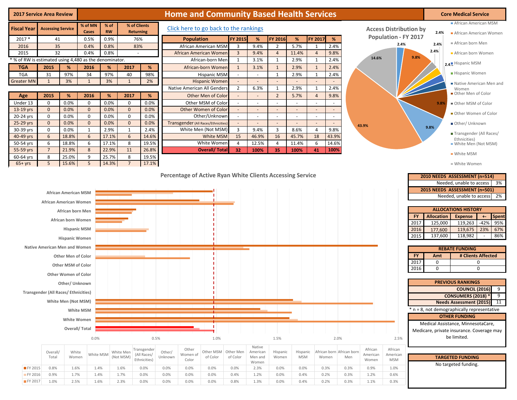| <b>2017 Service Area Review</b>                                |                                             |                                                                                                                                               |                             |                |                             |                            |         |                   | <b>Home and Community Based Health Services</b> |                                |                          |                                    |                                                      |                                                      |                           |                     |                                     |                                                | <b>Core Medical Service</b>                                                                                                                                                                                                                                                         |
|----------------------------------------------------------------|---------------------------------------------|-----------------------------------------------------------------------------------------------------------------------------------------------|-----------------------------|----------------|-----------------------------|----------------------------|---------|-------------------|-------------------------------------------------|--------------------------------|--------------------------|------------------------------------|------------------------------------------------------|------------------------------------------------------|---------------------------|---------------------|-------------------------------------|------------------------------------------------|-------------------------------------------------------------------------------------------------------------------------------------------------------------------------------------------------------------------------------------------------------------------------------------|
|                                                                |                                             |                                                                                                                                               | % of MN                     | % of           |                             | % of Clients               |         |                   |                                                 |                                |                          |                                    |                                                      |                                                      |                           |                     |                                     |                                                | African American MSM                                                                                                                                                                                                                                                                |
| <b>Fiscal Year</b>                                             | <b>Accessing Service</b>                    |                                                                                                                                               | Cases                       | <b>RW</b>      |                             | <b>Returning</b>           |         |                   | Click here to go back to the rankings           |                                |                          |                                    |                                                      |                                                      |                           |                     | <b>Access Distribution by</b>       |                                                | 2.4%<br>African American Women                                                                                                                                                                                                                                                      |
| 2017 *                                                         | 41                                          |                                                                                                                                               | 0.5%                        | 0.9%           |                             | 76%                        |         | <b>Population</b> |                                                 | <b>FY 2015</b>                 | %                        | <b>FY 2016</b>                     | %                                                    | FY 2017                                              | %                         |                     | <b>Population - FY 2017</b><br>2.4% |                                                | African born Men<br>2.4%                                                                                                                                                                                                                                                            |
| 2016                                                           | 35                                          |                                                                                                                                               | 0.4%                        | 0.8%           |                             | 83%                        |         |                   | African American MSM                            | $\overline{3}$                 | 9.4%                     | 2                                  | 5.7%                                                 | 1                                                    | 2.4%                      |                     |                                     |                                                | 2.4%                                                                                                                                                                                                                                                                                |
| 2015<br>* % of RW is estimated using 4,480 as the denominator. | 32                                          |                                                                                                                                               | 0.4%                        | 0.8%           |                             |                            |         |                   | African American Women<br>African-born Men      | $\overline{3}$<br>$\mathbf{1}$ | 9.4%<br>3.1%             | $\overline{4}$<br>1                | 11.4%<br>2.9%                                        | $\overline{4}$<br>$\mathbf{1}$                       | 9.8%<br>2.4%              | 14.6%               |                                     | 9.8%                                           | African born Women                                                                                                                                                                                                                                                                  |
| <b>TGA</b>                                                     | 2015                                        | %                                                                                                                                             | 2016                        | %              | 2017                        | %                          |         |                   | African-born Women                              | $\mathbf{1}$                   | 3.1%                     | 1                                  | 2.9%                                                 | $\mathbf{1}$                                         | 2.4%                      |                     |                                     |                                                | 2.4. Hispanic MSM                                                                                                                                                                                                                                                                   |
| <b>TGA</b>                                                     | 31                                          | 97%                                                                                                                                           | 34                          | 97%            | 40                          | 98%                        |         |                   | <b>Hispanic MSM</b>                             | $\sim$                         | $\overline{\phantom{a}}$ | 1                                  | 2.9%                                                 | $\mathbf{1}$                                         | 2.4%                      |                     |                                     |                                                | Hispanic Women                                                                                                                                                                                                                                                                      |
| <b>Greater MN</b>                                              | 1                                           | 3%                                                                                                                                            | $\mathbf{1}$                | 3%             | $\mathbf{1}$                | 2%                         |         |                   | <b>Hispanic Women</b>                           | $\blacksquare$                 | $\overline{\phantom{a}}$ | $\sim$                             | $\overline{\phantom{a}}$                             | $\overline{\phantom{a}}$                             |                           |                     |                                     |                                                | Native American Men and                                                                                                                                                                                                                                                             |
|                                                                |                                             |                                                                                                                                               |                             |                |                             |                            |         |                   | Native American All Genders                     | 2                              | 6.3%                     | 1                                  | 2.9%                                                 | $\mathbf{1}$                                         | 2.4%                      |                     |                                     |                                                | Women                                                                                                                                                                                                                                                                               |
| Age                                                            | 2015                                        | %                                                                                                                                             | 2016                        | %              | 2017                        | %                          |         |                   | Other Men of Color                              | $\overline{\phantom{a}}$       | $\sim$                   | $\overline{2}$                     | 5.7%                                                 | $\overline{4}$                                       | 9.8%                      |                     |                                     |                                                | Other Men of Color                                                                                                                                                                                                                                                                  |
| Under 13                                                       | $\mathbf 0$                                 | 0.0%                                                                                                                                          | $\mathbf 0$                 | 0.0%           | $\mathbf 0$                 | 0.0%                       |         |                   | Other MSM of Color                              | $\overline{\phantom{a}}$       | $\sim$                   | $\sim$                             | $\sim$                                               | $\sim$                                               |                           |                     |                                     |                                                | 9.8%<br>Other MSM of Color                                                                                                                                                                                                                                                          |
| 13-19 yrs                                                      | $\mathbf{0}$<br>$\mathbf 0$                 | 0.0%<br>0.0%                                                                                                                                  | $\mathbf{0}$<br>$\mathbf 0$ | 0.0%<br>0.0%   | $\mathbf{0}$<br>$\mathbf 0$ | 0.0%<br>0.0%               |         |                   | Other Women of Color<br>Other/Unknown           | $\sim$                         | $\sim$                   | $\overline{\phantom{a}}$<br>$\sim$ | $\overline{\phantom{a}}$<br>$\overline{\phantom{a}}$ | $\overline{\phantom{a}}$<br>$\overline{\phantom{a}}$ | $\sim$                    |                     |                                     |                                                | Other Women of Color                                                                                                                                                                                                                                                                |
| 20-24 yrs<br>25-29 yrs                                         | $\mathbf{0}$                                | 0.0%                                                                                                                                          | $\mathbf{0}$                | 0.0%           | $\mathbf 0$                 | 0.0%                       |         |                   | Transgender (All Races/Ethnicities              |                                | $\sim$                   | $\sim$                             | $\sim$                                               | $\sim$                                               |                           |                     |                                     |                                                | Other/ Unknown                                                                                                                                                                                                                                                                      |
| 30-39 yrs                                                      | $\mathbf 0$                                 | 0.0%                                                                                                                                          | $\mathbf{1}$                | 2.9%           | $\mathbf{1}$                | 2.4%                       |         |                   | White Men (Not MSM)                             | 3                              | 9.4%                     | $\overline{3}$                     | 8.6%                                                 | 4                                                    | 9.8%                      | 43.9%               |                                     |                                                | 9.8%                                                                                                                                                                                                                                                                                |
| 40-49 yrs                                                      | $6\overline{6}$                             | 18.8%                                                                                                                                         | 6                           | 17.1%          | 6                           | 14.6%                      |         |                   | White MSM                                       | 15                             | 46.9%                    | 16                                 | 45.7%                                                | 18                                                   | 43.9%                     |                     |                                     |                                                | ■ Transgender (All Races/<br>Ethnicities)                                                                                                                                                                                                                                           |
| 50-54 yrs                                                      | 6                                           | 18.8%                                                                                                                                         | 6                           | 17.1%          | 8                           | 19.5%                      |         |                   | White Women                                     | $\overline{4}$                 | 12.5%                    | $\overline{4}$                     | 11.4%                                                | 6                                                    | 14.6%                     |                     |                                     |                                                | White Men (Not MSM)                                                                                                                                                                                                                                                                 |
| 55-59 yrs                                                      | $\overline{7}$                              | 21.9%                                                                                                                                         | 8                           | 22.9%          | 11                          | 26.8%                      |         |                   | <b>Overall/Total</b>                            | 32                             | 100%                     | 35                                 | 100%                                                 | 41                                                   | 100%                      |                     |                                     |                                                | ■ White MSM                                                                                                                                                                                                                                                                         |
| 60-64 yrs<br>$65+yrs$                                          | 8<br>5                                      | 25.0%<br>15.6%                                                                                                                                | 9<br>5                      | 25.7%<br>14.3% | 8<br>$\overline{7}$         | 19.5%<br>17.1%             |         |                   |                                                 |                                |                          |                                    |                                                      |                                                      |                           |                     |                                     |                                                | ■ White Women                                                                                                                                                                                                                                                                       |
|                                                                | <b>Native American Men and Women</b>        | African American Women<br>African born Men<br>African born Women<br><b>Hispanic MSM</b><br><b>Hispanic Women</b><br><b>Other Men of Color</b> |                             |                |                             |                            |         |                   |                                                 |                                |                          |                                    |                                                      |                                                      |                           |                     |                                     | <b>FY</b><br>2017<br>2016<br>2015<br><b>FY</b> | Needed, unable to access<br>2%<br><b>ALLOCATIONS HISTORY</b><br><b>Allocation</b><br>Spent<br><b>Expense</b><br>$+ -$<br>125,000<br>$-42%$<br>95%<br>119,263<br>23%<br>67%<br>177,600<br>119,675<br>86%<br>137,600<br>118,982<br><b>REBATE FUNDING</b><br># Clients Affected<br>Amt |
|                                                                |                                             | <b>Other MSM of Color</b><br><b>Other Women of Color</b>                                                                                      |                             |                |                             |                            |         |                   |                                                 |                                |                          |                                    |                                                      |                                                      |                           |                     |                                     | 2017<br>2016                                   | 0<br>0<br>0<br>$\mathbf 0$                                                                                                                                                                                                                                                          |
|                                                                | <b>Transgender (All Races/ Ethnicities)</b> | Other/ Unknown<br>White Men (Not MSM)                                                                                                         |                             |                |                             |                            |         |                   |                                                 |                                |                          |                                    |                                                      |                                                      |                           |                     |                                     |                                                | <b>PREVIOUS RANKINGS</b><br><b>COUNCIL (2016)</b><br>9<br><b>CONSUMERS (2018) *</b><br>9<br>Needs Assessment (2015) 11                                                                                                                                                              |
|                                                                |                                             |                                                                                                                                               | White MSM                   |                |                             |                            |         |                   |                                                 |                                |                          |                                    |                                                      |                                                      |                           |                     |                                     |                                                | * n = 8, not demographically representative                                                                                                                                                                                                                                         |
|                                                                |                                             | White Women                                                                                                                                   |                             |                |                             |                            |         |                   |                                                 |                                |                          |                                    |                                                      |                                                      |                           |                     |                                     |                                                | <b>OTHER FUNDING</b>                                                                                                                                                                                                                                                                |
|                                                                |                                             |                                                                                                                                               |                             |                |                             |                            |         |                   |                                                 |                                |                          |                                    |                                                      |                                                      |                           |                     |                                     |                                                | Medical Assistance, MinnesotaCare,                                                                                                                                                                                                                                                  |
|                                                                |                                             |                                                                                                                                               | Overall/Total<br>0.0%       |                |                             | 0.5%                       |         |                   | 1.0%                                            |                                |                          | 1.5%                               |                                                      |                                                      | 2.0%                      |                     | 2.5%                                |                                                | Medicare, private insurance. Coverage may<br>be limited.                                                                                                                                                                                                                            |
|                                                                | Overall/                                    | White                                                                                                                                         | White MSM                   |                | White Men                   | Transgender<br>(All Races/ | Other/  | Other<br>Women of | Other MSM                                       | Other Men                      | Native<br>American       | Hispanic                           | Hispanic                                             |                                                      | African born African born | African<br>American | African<br>American                 |                                                |                                                                                                                                                                                                                                                                                     |
|                                                                | Total                                       | Women                                                                                                                                         |                             |                | (Not MSM)                   | Ethnicities)               | Unknown | Color             | of Color                                        | of Color                       | Men and<br>Women         | Women                              | <b>MSM</b>                                           | Women                                                | Men                       | Women               | <b>MSM</b>                          |                                                | <b>TARGETED FUNDING</b><br>No targeted funding.                                                                                                                                                                                                                                     |
| FY 2015                                                        | 0.8%                                        | 1.6%                                                                                                                                          | 1.4%                        |                | 1.6%                        | 0.0%                       | 0.0%    | 0.0%              | 0.0%                                            | 0.0%                           | 2.3%                     | 0.0%                               | 0.0%                                                 | 0.3%                                                 | 0.3%                      | 0.9%                | 1.0%                                |                                                |                                                                                                                                                                                                                                                                                     |
| FY 2016                                                        | 0.9%                                        | 1.7%                                                                                                                                          | 1.4%                        |                | 1.7%                        | 0.0%                       | 0.0%    | 0.0%              | 0.0%                                            | 0.4%                           | 1.2%                     | 0.0%                               | 0.4%                                                 | 0.2%                                                 | 0.3%                      | 1.2%                | 0.6%                                |                                                |                                                                                                                                                                                                                                                                                     |
| FY 2017                                                        | 1.0%                                        | 2.5%                                                                                                                                          | 1.6%                        |                | 2.3%                        | 0.0%                       | 0.0%    | 0.0%              | 0.0%                                            | 0.8%                           | 1.3%                     | 0.0%                               | 0.4%                                                 | 0.2%                                                 | 0.3%                      | 1.1%                | 0.3%                                |                                                |                                                                                                                                                                                                                                                                                     |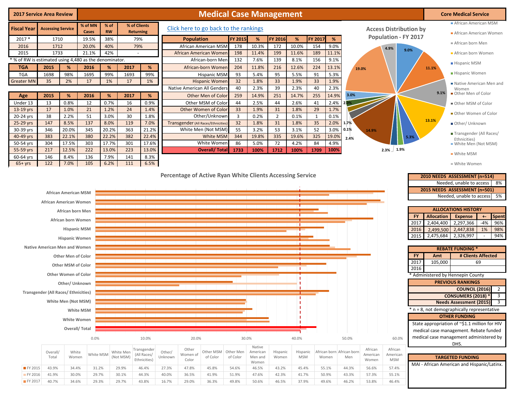| <b>2017 Service Area Review</b>                      |                          |       |                  |                   |                           |       | <b>Medical Case Management</b>                                   |                         |       |                |       |                |           |                               |       | <b>Core Medical Service</b>                    |
|------------------------------------------------------|--------------------------|-------|------------------|-------------------|---------------------------|-------|------------------------------------------------------------------|-------------------------|-------|----------------|-------|----------------|-----------|-------------------------------|-------|------------------------------------------------|
| <b>Fiscal Year</b>                                   | <b>Accessing Service</b> |       | % of MN<br>Cases | % of<br><b>RW</b> | % of Clients<br>Returning |       | Click here to go back to the rankings                            |                         |       |                |       |                |           | <b>Access Distribution by</b> |       | African American MSM<br>African American Women |
| $2017 *$                                             | 1710                     |       | 19.5%            | 38%               | 79%                       |       | <b>Population</b>                                                | <b>FY 2015</b>          | %     | <b>FY 2016</b> | %     | <b>FY 2017</b> | %         | <b>Population - FY 2017</b>   |       |                                                |
| 2016                                                 | 1712                     |       | 20.0%            | 40%               | 79%                       |       | African American MSM                                             | 178                     | 10.3% | 172            | 10.0% | 154            | 9.0%      |                               |       | African born Men                               |
| 2015                                                 | 1733                     |       | 21.1%            | 42%               |                           |       | African American Women                                           | 198                     | 11.4% | 199            | 11.6% | 189            | 11.1%     | 4.9%<br>9.0%                  |       | African born Women                             |
| % of RW is estimated using 4,480 as the denominator. |                          |       |                  |                   |                           |       | African-born Men                                                 | 132                     | 7.6%  | 139            | 8.1%  | 156            | 9.1%      |                               |       |                                                |
| <b>TGA</b>                                           | 2015                     | %     | 2016             | %                 | 2017                      | %     | African-born Women                                               | 204                     | 11.8% | 216            | 12.6% | 224            | 13.1%     | 19.0%                         | 11.1% | <b>Hispanic MSM</b>                            |
| <b>TGA</b>                                           | 1698                     | 98%   | 1695             | 99%               | 1693                      | 99%   | <b>Hispanic MSM</b>                                              | 93                      | 5.4%  | 95             | 5.5%  | 91             | 5.3%      |                               |       | ■ Hispanic Women                               |
| <b>Greater MN</b>                                    | 35                       | 2%    | 17               | 1%                | 17                        | 1%    | <b>Hispanic Women</b>                                            | 32                      | 1.8%  | 33             | 1.9%  | 33             | 1.9%      |                               |       | Native American Men and                        |
|                                                      |                          |       |                  |                   |                           |       | Native American All Genders                                      | 40                      | 2.3%  | 39             | 2.3%  | 40             | 2.3%      |                               |       | Women                                          |
| Age                                                  | 2015                     | %     | 2016             | %                 | 2017                      | %     | Other Men of Color                                               | 259                     | 14.9% | 251            | 14.7% | 255            | 14.9%     | 3.0%                          | 9.1%  | Other Men of Color                             |
| Under 13                                             | 13                       | 0.8%  | 12               | 0.7%              | 16                        | 0.9%  | Other MSM of Color                                               | 44                      | 2.5%  | 44             | 2.6%  | 41             | 2.4% 2.0% |                               |       | Other MSM of Color                             |
| 13-19 yrs                                            | 17                       | 1.0%  | 21               | 1.2%              | 24                        | 1.4%  | Other Women of Color                                             | 33                      | 1.9%  | 31             | 1.8%  | 29             | 1.7%      |                               |       |                                                |
| 20-24 yrs                                            | 38                       | 2.2%  | 51               | 3.0%              | 30                        | 1.8%  | Other/Unknown                                                    | $\overline{\mathbf{3}}$ | 0.2%  | $\overline{2}$ | 0.1%  | $\mathbf{1}$   | 0.1%      |                               |       | Other Women of Color                           |
| 25-29 yrs                                            | 147                      | 8.5%  | 137              | 8.0%              | 119                       | 7.0%  | Transgender (All Races/Ethnicities)                              | 32                      | 1.8%  | 31             | 1.8%  | 35             | 2.0%      | 1.7%                          | 13.1% | Other/ Unknown                                 |
| 30-39 yrs                                            | 346                      | 20.0% | 345              | 20.2%             | 363                       | 21.2% | White Men (Not MSM)                                              | 55                      | 3.2%  | 53             | 3.1%  | 52             | 3.0%      | 0.1%<br>14.9%                 |       | Transgender (All Races/                        |
| 40-49 yrs                                            | 383                      | 22.1% | 380              | 22.2%             | 382                       | 22.4% | <b>White MSM</b>                                                 | 344                     | 19.8% | 335            | 19.6% | 325            | 19.0%     | 5.3%<br>2.4%                  |       | Ethnicities)                                   |
| 50-54 yrs                                            | 304                      | 17.5% | 303              | 17.7%             | 301                       | 17.6% | White Women                                                      | 86                      | 5.0%  | 72             | 4.2%  | 84             | 4.9%      |                               |       | White Men (Not MSM)                            |
| 55-59 yrs                                            | 217                      | 12.5% | 222              | 13.0%             | 223                       | 13.0% | <b>Overall/Total</b>                                             | 1733                    | 100%  | 1712           | 100%  | 1709           | 100%      | 1.9%<br>2.3%                  |       | ■ White MSM                                    |
| 60-64 yrs                                            | 146<br>122               | 8.4%  | 136              | 7.9%              | 141<br>111                | 8.3%  |                                                                  |                         |       |                |       |                |           |                               |       |                                                |
| $65+yrs$                                             |                          | 7.0%  | 105              | 6.2%              |                           | 6.5%  |                                                                  |                         |       |                |       |                |           |                               |       | ■ White Women                                  |
|                                                      |                          |       |                  |                   |                           |       | <b>Percentage of Active Ryan White Clients Accessing Service</b> |                         |       |                |       |                |           |                               |       | 2010 NEEDS ASSESSMENT (n=514)                  |



FY 2016 41.9% 30.0% 29.7% 30.1% 44.3% 40.0% 36.5% 41.9% 51.9% 47.6% 42.3% 41.7% 50.9% 43.3% 57.3% 55.1% FY 2017 40.7% 34.6% 29.3% 29.7% 43.8% 16.7% 29.0% 36.3% 49.8% 50.6% 46.5% 37.9% 49.6% 46.2% 53.8% 46.4%

8% 5% **2010 NEEDS ASSESSMENT (n=514)** Needed, unable to access **2015 NEEDS ASSESSMENT (n=501)** Needed, unable to access

|      |                   | <b>ALLOCATIONS HISTORY</b> |       |              |
|------|-------------------|----------------------------|-------|--------------|
| FY.  | <b>Allocation</b> | <b>Expense</b>             |       | <b>Spent</b> |
| 2017 | 2,404,400         | 2,297,366                  | $-4%$ | 96%          |
| 2016 | 2,499,500         | 2,447,838                  | 1%    | 98%          |
| 2015 | 2,475,684         | 2,326,997                  |       | 94%          |

**REBATE FUNDING \***

| <b>FY</b>                              | Amt                                 | # Clients Affected                            |  |  |  |  |  |  |  |  |  |  |  |  |  |
|----------------------------------------|-------------------------------------|-----------------------------------------------|--|--|--|--|--|--|--|--|--|--|--|--|--|
| 2017                                   | 105,000                             | 69                                            |  |  |  |  |  |  |  |  |  |  |  |  |  |
| 2016                                   |                                     |                                               |  |  |  |  |  |  |  |  |  |  |  |  |  |
|                                        |                                     | * Administered by Hennepin County             |  |  |  |  |  |  |  |  |  |  |  |  |  |
|                                        | <b>PREVIOUS RANKINGS</b>            |                                               |  |  |  |  |  |  |  |  |  |  |  |  |  |
| <b>COUNCIL (2016)</b><br>$\mathcal{P}$ |                                     |                                               |  |  |  |  |  |  |  |  |  |  |  |  |  |
|                                        | <b>CONSUMERS (2018) *</b><br>3      |                                               |  |  |  |  |  |  |  |  |  |  |  |  |  |
|                                        | 3<br><b>Needs Assessment (2015)</b> |                                               |  |  |  |  |  |  |  |  |  |  |  |  |  |
|                                        |                                     | * n = 8, not demographically representative   |  |  |  |  |  |  |  |  |  |  |  |  |  |
|                                        |                                     | <b>OTHER FUNDING</b>                          |  |  |  |  |  |  |  |  |  |  |  |  |  |
|                                        |                                     | State appropriation of ~\$1.1 million for HIV |  |  |  |  |  |  |  |  |  |  |  |  |  |
|                                        |                                     | medical case management. Rebate funded        |  |  |  |  |  |  |  |  |  |  |  |  |  |
|                                        |                                     | medical case management administered by       |  |  |  |  |  |  |  |  |  |  |  |  |  |
|                                        |                                     | DHS.                                          |  |  |  |  |  |  |  |  |  |  |  |  |  |
|                                        |                                     |                                               |  |  |  |  |  |  |  |  |  |  |  |  |  |

**TARGETED FUNDING**

MAI - African American and Hispanic/Latinx.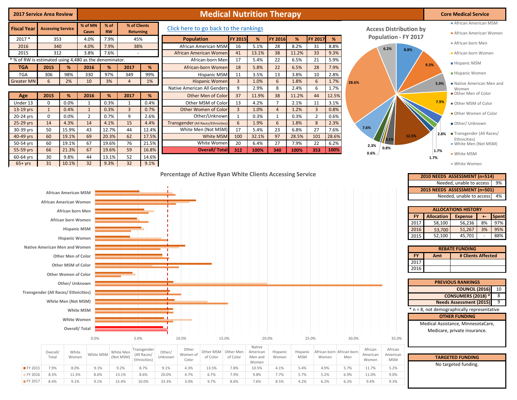| <b>2017 Service Area Review</b>                      |                                                                                     |                                                                                                                                                                                                                                                                                                                                 |                |                |                        |                            |                   |                                                       | <b>Medical Nutrition Therapy</b>         |                       |                           |                      |                        |                |                                    |             |                     |                                                              |                                                                                                            | <b>Core Medical Service</b>                                                                                                                                                                                                                                                                                                                                                                                                                                                                           |
|------------------------------------------------------|-------------------------------------------------------------------------------------|---------------------------------------------------------------------------------------------------------------------------------------------------------------------------------------------------------------------------------------------------------------------------------------------------------------------------------|----------------|----------------|------------------------|----------------------------|-------------------|-------------------------------------------------------|------------------------------------------|-----------------------|---------------------------|----------------------|------------------------|----------------|------------------------------------|-------------|---------------------|--------------------------------------------------------------|------------------------------------------------------------------------------------------------------------|-------------------------------------------------------------------------------------------------------------------------------------------------------------------------------------------------------------------------------------------------------------------------------------------------------------------------------------------------------------------------------------------------------------------------------------------------------------------------------------------------------|
|                                                      |                                                                                     |                                                                                                                                                                                                                                                                                                                                 | % of MN        | % of           |                        | % of Clients               |                   |                                                       |                                          |                       |                           |                      |                        |                |                                    |             |                     |                                                              |                                                                                                            | African American MSM                                                                                                                                                                                                                                                                                                                                                                                                                                                                                  |
| <b>Fiscal Year</b>                                   | <b>Accessing Service</b>                                                            |                                                                                                                                                                                                                                                                                                                                 | Cases          | <b>RW</b>      |                        | <b>Returning</b>           |                   | Click here to go back to the rankings                 |                                          |                       |                           |                      |                        |                |                                    |             |                     | <b>Access Distribution by</b><br><b>Population - FY 2017</b> |                                                                                                            | African American Women                                                                                                                                                                                                                                                                                                                                                                                                                                                                                |
| 2017 *                                               | 353                                                                                 |                                                                                                                                                                                                                                                                                                                                 | 4.0%           | 7.9%           |                        | 45%                        |                   | <b>Population</b>                                     |                                          | <b>FY 2015</b>        | %                         | FY 2016              | %                      | FY 2017        | %                                  |             |                     |                                                              |                                                                                                            | African born Men                                                                                                                                                                                                                                                                                                                                                                                                                                                                                      |
| 2016<br>2015                                         | 340<br>312                                                                          |                                                                                                                                                                                                                                                                                                                                 | 4.0%<br>3.8%   | 7.9%<br>7.6%   |                        | 38%<br>$\mathbf{r}$        |                   | African American MSM<br><b>African American Womer</b> |                                          | 16<br>41              | 5.1%<br>13.1%             | 28<br>38             | 8.2%<br>11.2%          | 31<br>33       | 8.8%<br>9.3%                       |             |                     | 6.2%<br>8.8%                                                 |                                                                                                            | African born Women                                                                                                                                                                                                                                                                                                                                                                                                                                                                                    |
| % of RW is estimated using 4,480 as the denominator. |                                                                                     |                                                                                                                                                                                                                                                                                                                                 |                |                |                        |                            |                   |                                                       | African-born Mer                         | 17                    | 5.4%                      | 22                   | 6.5%                   | 21             | 5.9%                               |             |                     |                                                              |                                                                                                            |                                                                                                                                                                                                                                                                                                                                                                                                                                                                                                       |
| <b>TGA</b>                                           | 2015                                                                                | %                                                                                                                                                                                                                                                                                                                               | 2016           | %              | 2017                   | %                          |                   |                                                       | African-born Womer                       | 18                    | 5.8%                      | 22                   | 6.5%                   | 28             | 7.9%                               |             |                     |                                                              | 9.3%                                                                                                       | <b>Hispanic MSM</b>                                                                                                                                                                                                                                                                                                                                                                                                                                                                                   |
| <b>TGA</b>                                           | 306                                                                                 | 98%                                                                                                                                                                                                                                                                                                                             | 330            | 97%            | 349                    | 99%                        |                   |                                                       | <b>Hispanic MSM</b>                      | 11                    | 3.5%                      | 13                   | 3.8%                   | 10             | 2.8%                               |             |                     |                                                              |                                                                                                            | Hispanic Women                                                                                                                                                                                                                                                                                                                                                                                                                                                                                        |
| <b>Greater MN</b>                                    | 6                                                                                   | 2%                                                                                                                                                                                                                                                                                                                              | 10             | 3%             | $\overline{4}$         | 1%                         |                   |                                                       | <b>Hispanic Womer</b>                    | $\overline{3}$        | 1.0%                      | 6                    | 1.8%                   | 6              | 1.7%                               | 28.6%       |                     |                                                              | 5.9%                                                                                                       | Native American Men and                                                                                                                                                                                                                                                                                                                                                                                                                                                                               |
|                                                      |                                                                                     |                                                                                                                                                                                                                                                                                                                                 |                |                |                        |                            |                   | Native American All Gender:                           |                                          | 9                     | 2.9%                      | 8                    | 2.4%                   | 6              | 1.7%                               |             |                     |                                                              |                                                                                                            | Women<br>Other Men of Color                                                                                                                                                                                                                                                                                                                                                                                                                                                                           |
| Age<br>Under 13                                      | 2015<br>$\mathbf 0$                                                                 | %<br>0.0%                                                                                                                                                                                                                                                                                                                       | 2016<br>1      | %<br>0.3%      | 2017<br>1              | %<br>0.4%                  |                   |                                                       | Other Men of Color<br>Other MSM of Color | 37<br>13              | 11.9%<br>4.2%             | 38<br>$\overline{7}$ | 11.2%<br>2.1%          | 44<br>11       | 12.5%<br>3.1%                      |             |                     |                                                              | 7.9%                                                                                                       |                                                                                                                                                                                                                                                                                                                                                                                                                                                                                                       |
| 13-19 yrs                                            | $\mathbf{1}$                                                                        | 0.4%                                                                                                                                                                                                                                                                                                                            | $\mathbf{1}$   | 0.3%           | $\overline{3}$         | 0.7%                       |                   | Other Women of Color                                  |                                          | $\overline{3}$        | 1.0%                      | $\overline{4}$       | 1.2%                   | $\overline{3}$ | 0.8%                               |             |                     |                                                              |                                                                                                            | Other MSM of Color                                                                                                                                                                                                                                                                                                                                                                                                                                                                                    |
| 20-24 yrs                                            | $\mathsf 0$                                                                         | 0.0%                                                                                                                                                                                                                                                                                                                            | $\overline{2}$ | 0.7%           | 9                      | 2.6%                       |                   |                                                       | Other/Unknowr                            | $\mathbf{1}$          | 0.3%                      | $\mathbf{1}$         | 0.3%                   | $\overline{2}$ | 0.6%                               |             |                     |                                                              |                                                                                                            | Other Women of Color                                                                                                                                                                                                                                                                                                                                                                                                                                                                                  |
| 25-29 yrs                                            | 14                                                                                  | 4.3%                                                                                                                                                                                                                                                                                                                            | 14             | 4.1%           | 15                     | 4.4%                       |                   | <b>Transgender (All Races/Ethnicities</b>             |                                          | 6                     | 1.9%                      | 6                    | 1.8%                   | 8              | 2.3%                               |             |                     |                                                              |                                                                                                            | Other/ Unknown                                                                                                                                                                                                                                                                                                                                                                                                                                                                                        |
| 30-39 yrs                                            | 50                                                                                  | 15.9%                                                                                                                                                                                                                                                                                                                           | 43             | 12.7%          | 44                     | 12.4%                      |                   | White Men (Not MSM)                                   |                                          | 17                    | 5.4%                      | 23                   | 6.8%                   | 27             | 7.6%                               |             | 7.6%                |                                                              | 2.8%                                                                                                       | ■ Transgender (All Races/                                                                                                                                                                                                                                                                                                                                                                                                                                                                             |
| 40-49 yrs<br>50-54 yrs                               | 60<br>60                                                                            | 19.1%<br>19.1%                                                                                                                                                                                                                                                                                                                  | 69<br>67       | 20.3%<br>19.6% | 62<br>76               | 17.5%<br>21.5%             |                   |                                                       | <b>White MSM</b><br>White Womer          | 100<br>20             | 32.1%<br>6.4%             | 97<br>27             | 28.5%<br>7.9%          | 101<br>22      | 28.6%<br>6.2%                      |             |                     | 12.5%                                                        |                                                                                                            | Ethnicities)                                                                                                                                                                                                                                                                                                                                                                                                                                                                                          |
| 55-59 yrs                                            | 66                                                                                  | 21.3%                                                                                                                                                                                                                                                                                                                           | 67             | 19.6%          | 59                     | 16.8%                      |                   |                                                       | <b>Overall/Total</b>                     | 312                   | 100%                      | 340                  | 100%                   | 353            | 100%                               |             | 2.3%                | 0.8%                                                         | 1.7%                                                                                                       | ■ White Men (Not MSM)                                                                                                                                                                                                                                                                                                                                                                                                                                                                                 |
| 60-64 yrs                                            | 30                                                                                  | 9.8%                                                                                                                                                                                                                                                                                                                            | 44             | 13.1%          | 52                     | 14.6%                      |                   |                                                       |                                          |                       |                           |                      |                        |                |                                    |             | 0.6%                |                                                              | 1.7%                                                                                                       | ■ White MSM                                                                                                                                                                                                                                                                                                                                                                                                                                                                                           |
| $65+yrs$                                             | 31                                                                                  | 10.1%                                                                                                                                                                                                                                                                                                                           | 32             | 9.3%           | 32                     | 9.1%                       |                   |                                                       |                                          |                       |                           |                      |                        |                |                                    |             |                     |                                                              |                                                                                                            | ■ White Women                                                                                                                                                                                                                                                                                                                                                                                                                                                                                         |
|                                                      | <b>Native American Men and Women</b><br><b>Transgender (All Races/ Ethnicities)</b> | <b>African American MSM</b><br>African American Women<br><b>African born Men</b><br>African born Women<br><b>Hispanic MSM</b><br><b>Hispanic Women</b><br><b>Other Men of Color</b><br><b>Other MSM of Color</b><br><b>Other Women of Color</b><br>Other/ Unknown<br>White Men (Not MSM)<br><b>White Women</b><br>Overall/Total | White MSM      |                |                        |                            |                   |                                                       |                                          |                       |                           |                      |                        |                |                                    |             |                     | 2017                                                         | FY.<br><b>Allocation</b><br>58,100<br>2016<br>53,700<br>52,100<br>2015<br><b>FY</b><br>Amt<br>2017<br>2016 | 2015 NEEDS ASSESSMENT (n=501)<br>Needed, unable to access<br>4%<br><b>ALLOCATIONS HISTORY</b><br>Spent<br><b>Expense</b><br>$+ -$<br>8%<br>97%<br>56,236<br>51,267<br>3%<br>95%<br>88%<br>45,701<br>$\sim$<br><b>REBATE FUNDING</b><br># Clients Affected<br><b>PREVIOUS RANKINGS</b><br><b>COUNCIL (2016)</b> 10<br><b>CONSUMERS (2018) * 8</b><br>9<br><b>Needs Assessment (2015)</b><br>$n = 8$ , not demographically representative<br><b>OTHER FUNDING</b><br>Medical Assistance, MinnesotaCare, |
|                                                      |                                                                                     |                                                                                                                                                                                                                                                                                                                                 | 0.0%           |                |                        | 5.0%                       |                   | 10.0%                                                 | 15.0%                                    |                       | Native                    | 20.0%                |                        | 25.0%          |                                    | 30.0%       |                     | 35.0%                                                        |                                                                                                            | Medicare, private insurance.                                                                                                                                                                                                                                                                                                                                                                                                                                                                          |
|                                                      | Overall/<br>Total                                                                   | White<br>Women                                                                                                                                                                                                                                                                                                                  | White MSM      |                | White Men<br>(Not MSM) | Transgender<br>(All Races/ | Other/<br>Unknown | Other<br>Women of                                     | Other MSM<br>of Color                    | Other Men<br>of Color | American                  | Hispanic             | Hispanic<br><b>MSM</b> |                | African born African born<br>Women |             | African<br>American | African<br>American                                          |                                                                                                            |                                                                                                                                                                                                                                                                                                                                                                                                                                                                                                       |
| FY 2015                                              | 7.9%                                                                                | 8.0%                                                                                                                                                                                                                                                                                                                            | 9.1%           |                | 9.2%                   | Ethnicities)<br>8.7%       | 9.1%              | Color<br>4.3%                                         | 13.5%                                    | 7.8%                  | Men and<br>Women<br>10.5% | Women<br>4.1%        | 5.4%                   |                | 4.9%                               | Men<br>5.7% | Women<br>11.7%      | <b>MSM</b><br>5.2%                                           |                                                                                                            | <b>TARGETED FUNDING</b><br>No targeted funding.                                                                                                                                                                                                                                                                                                                                                                                                                                                       |

FY 2016 8.3% 11.3% 8.6% 13.1% 8.6% 20.0% 4.7% 6.7% 7.9% 9.8% 7.7% 5.7% 5.2% 6.9% 11.0% 9.0% FY 2017 8.4% 9.1% 9.1% 15.4% 10.0% 33.3% 3.0% 9.7% 8.6% 7.6% 8.5% 4.2% 6.2% 6.2% 9.4% 9.3%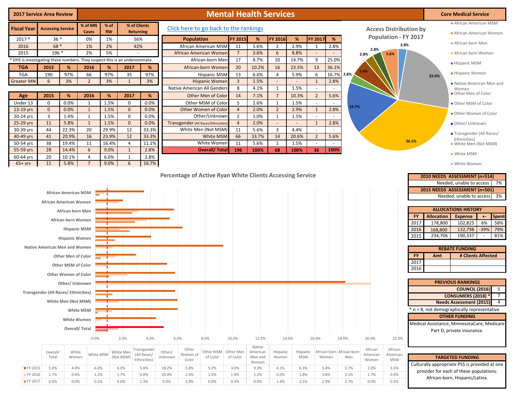| <b>2017 Service Area Review</b>                                                                                             |                                                                |                                                                                                                                                                                 |                      | <b>Mental Health Services</b> |                                |                                                    |                           |                                       |                                                      |                                |                                                 |                               |                                 |                          |                                    |                                              |                                            |                                                  | <b>Core Medical Service</b>                                                                                                                                                                                                                      |  |
|-----------------------------------------------------------------------------------------------------------------------------|----------------------------------------------------------------|---------------------------------------------------------------------------------------------------------------------------------------------------------------------------------|----------------------|-------------------------------|--------------------------------|----------------------------------------------------|---------------------------|---------------------------------------|------------------------------------------------------|--------------------------------|-------------------------------------------------|-------------------------------|---------------------------------|--------------------------|------------------------------------|----------------------------------------------|--------------------------------------------|--------------------------------------------------|--------------------------------------------------------------------------------------------------------------------------------------------------------------------------------------------------------------------------------------------------|--|
| % of MN<br>% of Clients<br>% of<br><b>Fiscal Year</b><br><b>Accessing Service</b><br><b>RW</b><br><b>Returning</b><br>Cases |                                                                |                                                                                                                                                                                 |                      |                               |                                |                                                    |                           | Click here to go back to the rankings | <b>Access Distribution by</b>                        | African American MSM           |                                                 |                               |                                 |                          |                                    |                                              |                                            |                                                  |                                                                                                                                                                                                                                                  |  |
| $2017 *$                                                                                                                    | $36*$                                                          |                                                                                                                                                                                 | 0%                   | 1%                            |                                | 56%                                                |                           | <b>Population</b>                     |                                                      |                                | %                                               | FY 2016                       | %                               | FY 2017                  | %                                  |                                              | <b>Population - FY 2017</b>                |                                                  | African American Women                                                                                                                                                                                                                           |  |
| 2016                                                                                                                        | 68 *                                                           |                                                                                                                                                                                 | 1%                   | 2%                            |                                | 42%                                                |                           | African American MSM                  |                                                      | <b>FY 2015</b><br>11           | 5.6%                                            | 2                             | 2.9%                            | 1                        | 2.8%                               |                                              | 2.8%                                       |                                                  | African born Men                                                                                                                                                                                                                                 |  |
| 2015                                                                                                                        | 196 *                                                          |                                                                                                                                                                                 | 2%                   | 5%                            |                                |                                                    |                           | African American Women                |                                                      | $\overline{7}$                 | 3.6%                                            | 6                             | 8.8%                            |                          |                                    | 2.8%<br>2.8%                                 | 5.6%                                       |                                                  | African born Women                                                                                                                                                                                                                               |  |
| * DHS is investigating these numbers. They suspect this is an underestimate.                                                |                                                                |                                                                                                                                                                                 |                      |                               |                                |                                                    |                           |                                       | African-born Men                                     | 17                             | 8.7%                                            | 10                            | 14.7%                           | 9                        | 25.0%                              |                                              |                                            |                                                  | <b>Hispanic MSM</b>                                                                                                                                                                                                                              |  |
| <b>TGA</b>                                                                                                                  | 2015                                                           | %                                                                                                                                                                               | 2016                 | %                             | 2017                           | %                                                  |                           |                                       | African-born Women                                   | 20                             | 10.2%                                           | 16                            | 23.5%                           | 13                       | 36.1%                              | 5.6%                                         |                                            |                                                  |                                                                                                                                                                                                                                                  |  |
| <b>TGA</b><br><b>Greater MN</b>                                                                                             | 190<br>6                                                       | 97%<br>3%                                                                                                                                                                       | 66<br>$\overline{2}$ | 97%<br>3%                     | 35<br>$\mathbf{1}$             | 97%<br>3%                                          |                           |                                       | <b>Hispanic MSM</b>                                  | 13<br>$\overline{3}$           | 6.6%<br>1.5%                                    | $\overline{4}$<br>$\sim$      | 5.9%<br>$\omega$                | 6<br>$\mathbf{1}$        | 16.7% 2.8%<br>2.8%                 |                                              |                                            |                                                  | Hispanic Women<br>25.0%                                                                                                                                                                                                                          |  |
|                                                                                                                             |                                                                |                                                                                                                                                                                 |                      |                               |                                |                                                    |                           |                                       | <b>Hispanic Women</b><br>Native American All Genders | 8                              | 4.1%                                            | $\mathbf{1}$                  | 1.5%                            | $\sim$                   | $\sim$                             |                                              |                                            |                                                  | Native American Men and<br>Women                                                                                                                                                                                                                 |  |
| Age                                                                                                                         | 2015                                                           | %                                                                                                                                                                               | 2016                 | %                             | 2017                           | %                                                  |                           |                                       | Other Men of Color                                   | 14                             | 7.1%                                            | $\overline{7}$                | 10.3%                           | $\overline{2}$           | 5.6%                               |                                              |                                            |                                                  | Other Men of Color                                                                                                                                                                                                                               |  |
| Under 13                                                                                                                    | $\mathbf 0$                                                    | 0.0%                                                                                                                                                                            | 1                    | 1.5%                          | $\mathbf 0$                    | 0.0%                                               |                           |                                       | Other MSM of Color                                   | 5                              | 2.6%                                            | $\mathbf{1}$                  | 1.5%                            |                          |                                    |                                              |                                            |                                                  | Other MSM of Color                                                                                                                                                                                                                               |  |
| 13-19 yrs                                                                                                                   | $\mathbf{0}$                                                   | 0.0%                                                                                                                                                                            | $\mathbf{1}$         | 1.5%                          | $\mathbf 0$                    | 0.0%                                               |                           |                                       | Other Women of Color                                 | $\overline{4}$                 | 2.0%                                            | $\overline{2}$                | 2.9%                            | $\mathbf{1}$             | 2.8%                               | 16.7%                                        |                                            |                                                  |                                                                                                                                                                                                                                                  |  |
| 20-24 yrs                                                                                                                   | $\overline{3}$                                                 | 1.4%                                                                                                                                                                            | 1                    | 1.5%                          | $\mathsf 0$                    | 0.0%                                               |                           |                                       | Other/Unknown                                        | $\overline{2}$                 | 1.0%                                            | $\mathbf{1}$                  | 1.5%                            | $\sim$                   |                                    |                                              |                                            |                                                  | Other Women of Color                                                                                                                                                                                                                             |  |
| 25-29 yrs                                                                                                                   | 11                                                             | 5.8%                                                                                                                                                                            | $\mathbf{1}$         | 1.5%                          | $\mathbf 0$                    | 0.0%                                               |                           |                                       | <b>Transgender (All Races/Ethnicities</b>            | $\overline{4}$                 | 2.0%                                            | $\omega$                      | $\overline{\phantom{a}}$        | $\mathbf{1}$             | 2.8%                               |                                              |                                            |                                                  | Other/ Unknown                                                                                                                                                                                                                                   |  |
| 30-39 yrs<br>40-49 yrs                                                                                                      | 44<br>41                                                       | 22.3%<br>20.9%                                                                                                                                                                  | 20<br>16             | 29.9%<br>23.9%                | 12<br>12                       | 33.3%<br>33.3%                                     |                           |                                       | White Men (Not MSM)<br><b>White MSM</b>              | 11<br>66                       | 5.6%<br>33.7%                                   | $\overline{\mathbf{3}}$<br>14 | 4.4%<br>20.6%                   | $\sim$<br>$\overline{2}$ | 5.6%                               |                                              |                                            |                                                  | Transgender (All Races/                                                                                                                                                                                                                          |  |
| 50-54 yrs                                                                                                                   | 38                                                             | 19.4%                                                                                                                                                                           | 11                   | 16.4%                         | $\overline{4}$                 | 11.1%                                              |                           |                                       | White Women                                          | 11                             | 5.6%                                            | 1                             | 1.5%                            | $\sim$                   | $\sim$                             |                                              |                                            | 36.1%                                            | Ethnicities)<br>White Men (Not MSM)                                                                                                                                                                                                              |  |
| 55-59 yrs                                                                                                                   | 28                                                             | 14.4%                                                                                                                                                                           | 6                    | 9.0%                          | 1                              | 2.8%                                               |                           |                                       | <b>Overall/Total</b>                                 | 196                            | 100%                                            | 68                            | 100%                            | 36                       | 100%                               |                                              |                                            |                                                  |                                                                                                                                                                                                                                                  |  |
| 60-64 yrs                                                                                                                   | 20                                                             | 10.1%                                                                                                                                                                           | 4                    | 6.0%                          | $\mathbf{1}$                   | 2.8%                                               |                           |                                       |                                                      |                                |                                                 |                               |                                 |                          |                                    |                                              |                                            |                                                  | ■ White MSM                                                                                                                                                                                                                                      |  |
| $65+yrs$                                                                                                                    | 11                                                             | 5.8%                                                                                                                                                                            | $\overline{7}$       | 9.0%                          | 6                              | 16.7%                                              |                           |                                       |                                                      |                                |                                                 |                               |                                 |                          |                                    |                                              |                                            |                                                  | ■ White Women                                                                                                                                                                                                                                    |  |
|                                                                                                                             | African American Women<br><b>Native American Men and Women</b> | African born Men<br>African born Women<br><b>Hispanic MSM</b><br><b>Hispanic Women</b><br><b>Other Men of Color</b><br><b>Other MSM of Color</b><br><b>Other Women of Color</b> |                      |                               |                                |                                                    |                           |                                       |                                                      |                                |                                                 |                               |                                 |                          |                                    |                                              |                                            | FY<br>2017<br>2016<br>2015<br>FY<br>2017<br>2016 | <b>ALLOCATIONS HISTORY</b><br><b>Allocation</b><br>Spent<br><b>Expense</b><br>$+ -$<br>178,800<br>6%<br>58%<br>102,825<br>$-39%$<br>79%<br>132,798<br>168,800<br>234,706<br>190,337<br>81%<br><b>REBATE FUNDING</b><br># Clients Affected<br>Amt |  |
|                                                                                                                             | <b>Transgender (All Races/ Ethnicities)</b>                    | Other/ Unknown                                                                                                                                                                  |                      | л.                            |                                |                                                    |                           |                                       |                                                      |                                |                                                 |                               |                                 |                          |                                    |                                              |                                            |                                                  | <b>PREVIOUS RANKINGS</b><br><b>COUNCIL (2016)</b><br>- 5                                                                                                                                                                                         |  |
|                                                                                                                             |                                                                | White Men (Not MSM)<br>White Women                                                                                                                                              | White MSM            | т                             |                                |                                                    |                           |                                       |                                                      |                                |                                                 |                               |                                 |                          |                                    |                                              |                                            |                                                  | <b>CONSUMERS (2018)</b><br>$\overline{7}$<br><b>Needs Assessment (2015)</b><br>* n = 8, not demographically representative<br><b>OTHER FUNDING</b><br>Medical Assistance, MinnesotaCare, Medicare                                                |  |
|                                                                                                                             |                                                                |                                                                                                                                                                                 | Overall/Total        |                               |                                |                                                    |                           |                                       |                                                      |                                |                                                 |                               |                                 |                          |                                    |                                              |                                            |                                                  | Part D, private insurance.                                                                                                                                                                                                                       |  |
|                                                                                                                             | Overall/<br>Total                                              | White<br>Women                                                                                                                                                                  | 0.0%<br>White MSM    |                               | 2.0%<br>White Men<br>(Not MSM) | 4.0%<br>Transgender<br>(All Races/<br>Ethnicities) | 6.0%<br>Other/<br>Unknown | Other<br>Women of<br>Color            | 8.0%<br>Other MSM<br>of Color                        | 10.0%<br>Other Men<br>of Color | 12.0%<br>Native<br>American<br>Men and<br>Women | Hispanic<br>Women             | 14.0%<br>Hispanic<br><b>MSM</b> | 16.0%<br>Women           | 18.0%<br>African born African born | 20.0%<br>African<br>American<br>Men<br>Women | 22.0%<br>African<br>American<br><b>MSM</b> |                                                  | <b>TARGETED FUNDING</b>                                                                                                                                                                                                                          |  |
| FY 2015                                                                                                                     | 5.0%                                                           | 4.4%                                                                                                                                                                            | 6.0%                 |                               | 6.0%                           | 5.8%                                               | 18.2%                     | 5.8%                                  | 5.2%                                                 | 3.0%                           | 9.3%                                            | 4.1%                          | 6.3%                            | 5.4%                     |                                    | 2.0%<br>5.7%                                 | 3.5%                                       |                                                  | Culturally appropriate PSS is provided at one<br>provider for each of these populations:                                                                                                                                                         |  |
| FY 2016                                                                                                                     | 1.7%                                                           | 0.4%                                                                                                                                                                            | 1.2%                 |                               | 1.7%                           | 0.0%                                               | 20.0%                     | 2.4%                                  | 1.0%                                                 | 1.4%                           | 1.2%                                            | 0.0%                          | 1.8%                            | 3.8%                     |                                    | 3.1%<br>1.7%                                 | 0.6%                                       |                                                  | African-born, Hispanic/Latinx.                                                                                                                                                                                                                   |  |
| FY 2017                                                                                                                     | 0.9%                                                           | 0.0%                                                                                                                                                                            | 0.2%                 |                               | 0.0%                           | 1.3%                                               | 0.0%                      | 1.0%                                  | 0.0%                                                 | 0.4%                           | 0.0%                                            | 1.4%                          | 2.5%                            | 2.9%                     |                                    | 2.7%<br>0.0%                                 | 0.3%                                       |                                                  |                                                                                                                                                                                                                                                  |  |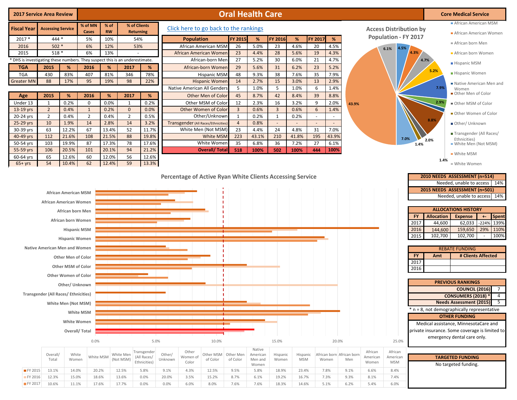| <b>2017 Service Area Review</b>                                              |                                                                |                                                                                                                                                                                                                           |                                    | <b>Oral Health Care</b> |                                  |                                            |                   |                                                           |                       |                                |                                        |                         |                        |                  |                                    |       |                                                                   | <b>Core Medical Service</b>                                    |                                                          |                                                                                                                                                                                                                                                                                                                                |
|------------------------------------------------------------------------------|----------------------------------------------------------------|---------------------------------------------------------------------------------------------------------------------------------------------------------------------------------------------------------------------------|------------------------------------|-------------------------|----------------------------------|--------------------------------------------|-------------------|-----------------------------------------------------------|-----------------------|--------------------------------|----------------------------------------|-------------------------|------------------------|------------------|------------------------------------|-------|-------------------------------------------------------------------|----------------------------------------------------------------|----------------------------------------------------------|--------------------------------------------------------------------------------------------------------------------------------------------------------------------------------------------------------------------------------------------------------------------------------------------------------------------------------|
| <b>Fiscal Year</b>                                                           | <b>Accessing Service</b>                                       |                                                                                                                                                                                                                           | % of MN<br>Cases                   | % of<br><b>RW</b>       | % of Clients<br><b>Returning</b> |                                            |                   | Click here to go back to the rankings                     |                       |                                |                                        |                         |                        |                  |                                    |       | <b>Access Distribution by</b>                                     |                                                                |                                                          | African American MSM                                                                                                                                                                                                                                                                                                           |
| 2017 *                                                                       | $444*$                                                         |                                                                                                                                                                                                                           | 5%                                 | 10%                     | 54%                              |                                            |                   | <b>Population</b>                                         |                       | <b>FY 2015</b>                 | %                                      | FY 2016                 | %                      | FY 2017          | %                                  |       | <b>Population - FY 2017</b>                                       |                                                                |                                                          | African American Women                                                                                                                                                                                                                                                                                                         |
| 2016                                                                         | $502*$                                                         |                                                                                                                                                                                                                           | 6%                                 | 12%                     | 53%                              |                                            |                   | <b>African American MSM</b>                               |                       | 26                             | 5.0%                                   | 23                      | 4.6%                   | 20               | 4.5%                               |       | 4.5%                                                              |                                                                |                                                          | African born Men                                                                                                                                                                                                                                                                                                               |
| 2015                                                                         | $518*$                                                         |                                                                                                                                                                                                                           | 6%                                 | 13%                     |                                  |                                            |                   | African American Women                                    |                       | 23                             | 4.4%                                   | 28                      | 5.6%                   | 19               | 4.3%                               |       | 6.1%                                                              | 4.3%                                                           |                                                          | African born Women                                                                                                                                                                                                                                                                                                             |
| * DHS is investigating these numbers. They suspect this is an underestimate. |                                                                |                                                                                                                                                                                                                           |                                    |                         |                                  |                                            |                   |                                                           | African-born Men      | 27                             | 5.2%                                   | 30                      | 6.0%                   | 21               | 4.7%                               |       |                                                                   | 4.7%                                                           |                                                          | <b>Hispanic MSM</b>                                                                                                                                                                                                                                                                                                            |
| <b>TGA</b>                                                                   | 2015                                                           | %                                                                                                                                                                                                                         | 2016                               | %                       | 2017                             | %                                          |                   | African-born Women                                        |                       | 29                             | 5.6%                                   | 31                      | 6.2%                   | 23               | 5.2%                               |       |                                                                   |                                                                | 5.2%                                                     |                                                                                                                                                                                                                                                                                                                                |
| <b>TGA</b>                                                                   | 430                                                            | 83%                                                                                                                                                                                                                       | 407                                | 81%                     | 346                              | 78%                                        |                   |                                                           | <b>Hispanic MSM</b>   | 48                             | 9.3%                                   | 38                      | 7.6%                   | 35               | 7.9%                               |       |                                                                   |                                                                |                                                          | Hispanic Women                                                                                                                                                                                                                                                                                                                 |
| <b>Greater MN</b>                                                            | 88                                                             | 17%                                                                                                                                                                                                                       | 95                                 | 19%                     | 98                               | 22%                                        |                   |                                                           | <b>Hispanic Women</b> | 14                             | 2.7%                                   | 15                      | 3.0%                   | 13               | 2.9%                               |       |                                                                   |                                                                |                                                          | Native American Men and                                                                                                                                                                                                                                                                                                        |
|                                                                              |                                                                |                                                                                                                                                                                                                           |                                    |                         |                                  |                                            |                   | <b>Native American All Genders</b>                        |                       | 5                              | 1.0%                                   | 5                       | 1.0%                   | 6                | 1.4%                               |       |                                                                   |                                                                | 7.9%                                                     | Women                                                                                                                                                                                                                                                                                                                          |
| Age                                                                          | 2015                                                           | %                                                                                                                                                                                                                         | 2016                               | %                       | 2017                             | %                                          |                   | Other Men of Color                                        |                       | 45                             | 8.7%                                   | 42                      | 8.4%                   | 39               | 8.8%                               |       |                                                                   |                                                                |                                                          | Other Men of Color                                                                                                                                                                                                                                                                                                             |
| Under 13                                                                     | 1                                                              | 0.2%                                                                                                                                                                                                                      | $\mathbf 0$                        | 0.0%                    | 1                                | 0.2%                                       |                   | Other MSM of Color                                        |                       | 12                             | 2.3%                                   | 16                      | 3.2%                   | 9                | 2.0%                               | 43.9% |                                                                   |                                                                | 2.9%                                                     | Other MSM of Color                                                                                                                                                                                                                                                                                                             |
| 13-19 yrs                                                                    | $\overline{2}$                                                 | 0.4%                                                                                                                                                                                                                      | $\mathbf{1}$                       | 0.2%                    | $\mathbf 0$                      | 0.0%                                       |                   | Other Women of Color                                      |                       | $\overline{3}$                 | 0.6%                                   | $\overline{\mathbf{3}}$ | 0.6%                   | 6                | 1.4%                               |       |                                                                   |                                                                |                                                          | Other Women of Color                                                                                                                                                                                                                                                                                                           |
| 20-24 yrs<br>25-29 yrs                                                       | $\overline{2}$<br>10                                           | 0.4%<br>1.9%                                                                                                                                                                                                              | $\overline{2}$<br>14               | 0.4%<br>2.8%            | $\overline{2}$<br>14             | 0.5%<br>3.2%                               |                   |                                                           | Other/Unknown         | $\mathbf{1}$<br>$\overline{4}$ | 0.2%                                   | $\mathbf{1}$<br>$\sim$  | 0.2%<br>$\sim$         | $\sim$<br>$\sim$ | $\overline{\phantom{a}}$           |       |                                                                   |                                                                | 8.8%                                                     |                                                                                                                                                                                                                                                                                                                                |
| 30-39 yrs                                                                    | 63                                                             | 12.2%                                                                                                                                                                                                                     | 67                                 | 13.4%                   | 52                               | 11.7%                                      |                   | Transgender (All Races/Ethnicities<br>White Men (Not MSM) |                       | 23                             | 0.8%<br>4.4%                           | 24                      | 4.8%                   | 31               | 7.0%                               |       |                                                                   |                                                                |                                                          | Other/ Unknown                                                                                                                                                                                                                                                                                                                 |
| 40-49 yrs                                                                    | 112                                                            | 21.6%                                                                                                                                                                                                                     | 108                                | 21.5%                   | 88                               | 19.8%                                      |                   |                                                           | White MSM             | 223                            | 43.1%                                  | 210                     | 41.8%                  | 195              | 43.9%                              |       |                                                                   |                                                                |                                                          | Transgender (All Races/                                                                                                                                                                                                                                                                                                        |
| 50-54 yrs                                                                    | 103                                                            | 19.9%                                                                                                                                                                                                                     | 87                                 | 17.3%                   | 78                               | 17.6%                                      |                   |                                                           | White Women           | 35                             | 6.8%                                   | 36                      | 7.2%                   | 27               | 6.1%                               |       |                                                                   | 7.0%<br>1.4%                                                   | 2.0%                                                     | Ethnicities)<br>■ White Men (Not MSM)                                                                                                                                                                                                                                                                                          |
| 55-59 yrs                                                                    | 106                                                            | 20.5%                                                                                                                                                                                                                     | 101                                | 20.1%                   | 94                               | 21.2%                                      |                   |                                                           | <b>Overall/Total</b>  | 518                            | 100%                                   | 502                     | 100%                   | 444              | 100%                               |       |                                                                   |                                                                |                                                          |                                                                                                                                                                                                                                                                                                                                |
| 60-64 yrs                                                                    | 65                                                             | 12.6%                                                                                                                                                                                                                     | 60                                 | 12.0%                   | 56                               | 12.6%                                      |                   |                                                           |                       |                                |                                        |                         |                        |                  |                                    |       |                                                                   |                                                                |                                                          | ■ White MSM                                                                                                                                                                                                                                                                                                                    |
| $65+yrs$                                                                     | 54                                                             | 10.4%                                                                                                                                                                                                                     | 62                                 | 12.4%                   | 59                               | 13.3%                                      |                   |                                                           |                       |                                |                                        |                         |                        |                  |                                    |       |                                                                   |                                                                | 1.4%                                                     | ■ White Women                                                                                                                                                                                                                                                                                                                  |
|                                                                              | African American Women<br><b>Native American Men and Women</b> | <b>African American MSM</b><br>African born Men<br>African born Women<br><b>Hispanic MSM</b><br><b>Hispanic Women</b><br><b>Other Men of Color</b><br>Other MSM of Color<br><b>Other Women of Color</b><br>Other/ Unknown |                                    |                         |                                  |                                            |                   |                                                           |                       |                                |                                        |                         |                        |                  |                                    |       |                                                                   | <b>FY</b><br>2017<br>2016<br>2015<br><b>FY</b><br>2017<br>2016 | <b>Allocation</b><br>44,600<br>144,600<br>102,700<br>Amt | Needed, unable to access   14%<br>2015 NEEDS ASSESSMENT (n=501)<br>Needed, unable to access<br>14%<br><b>ALLOCATIONS HISTORY</b><br>Spent<br><b>Expense</b><br>$+ -$<br>62,033 -224%<br>139%<br>159,650<br>29%<br>110%<br>102,700<br>100%<br><b>REBATE FUNDING</b><br># Clients Affected<br><b>PREVIOUS RANKINGS</b>           |
|                                                                              | <b>Transgender (All Races/ Ethnicities)</b>                    | White Men (Not MSM)<br>White Women                                                                                                                                                                                        | White MSM<br>Overall/Total<br>0.0% |                         |                                  | 5.0%                                       |                   |                                                           | 10.0%                 |                                |                                        | 15.0%                   |                        |                  | 20.0%                              |       | 25.0%                                                             |                                                                |                                                          | <b>COUNCIL (2016)</b><br>$\overline{7}$<br><b>CONSUMERS (2018) *</b><br>$\overline{4}$<br>5<br><b>Needs Assessment (2015)</b><br>* n = 8, not demographically representative<br><b>OTHER FUNDING</b><br>Medical assistance, MinnesotaCare and<br>private insurance. Some coverage is limited to<br>emergency dental care only. |
|                                                                              | Overall/<br>Total                                              | White<br>Women                                                                                                                                                                                                            | White MSM                          |                         | White Men<br>(Not MSM)           | Transgender<br>(All Races/<br>Ethnicities) | Other/<br>Unknown | Other<br>Women of<br>Color                                | Other MSM<br>of Color | Other Men<br>of Color          | Native<br>American<br>Men and<br>Women | Hispanic<br>Women       | Hispanic<br><b>MSM</b> |                  | African born African born<br>Women | Men   | African<br>African<br>American<br>American<br>Women<br><b>MSM</b> |                                                                |                                                          | <b>TARGETED FUNDING</b><br>No targeted funding.                                                                                                                                                                                                                                                                                |

FY 2015 13.1% 14.0% 20.2% 12.5% 5.8% 9.1% 4.3% 12.5% 9.5% 5.8% 18.9% 23.4% 7.8% 9.1% 6.6% 8.4% FY 2016 12.3% 15.0% 18.6% 13.6% 0.0% 20.0% 3.5% 15.2% 8.7% 6.1% 19.2% 16.7% 7.3% 9.3% 8.1% 7.4% FY 2017 10.6% 11.1% 17.6% 17.7% 0.0% 0.0% 6.0% 8.0% 7.6% 7.6% 18.3% 14.6% 5.1% 6.2% 5.4% 6.0%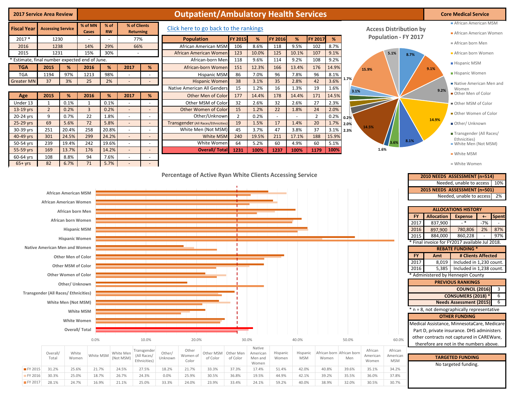| <b>2017 Service Area Review</b>                           |                                             |                                                       | <b>Outpatient/Ambulatory Health Services</b> |              |                                                                                                |                                    |         |                   |                                                       |                      |                  |              |            |                      |              |                           |                     | <b>Core Medical Service</b> |             |                              |                                                                          |                                |  |
|-----------------------------------------------------------|---------------------------------------------|-------------------------------------------------------|----------------------------------------------|--------------|------------------------------------------------------------------------------------------------|------------------------------------|---------|-------------------|-------------------------------------------------------|----------------------|------------------|--------------|------------|----------------------|--------------|---------------------------|---------------------|-----------------------------|-------------|------------------------------|--------------------------------------------------------------------------|--------------------------------|--|
| % of MN<br><b>Fiscal Year</b><br><b>Accessing Service</b> |                                             |                                                       |                                              |              | % of<br>% of Clients<br>Click here to go back to the rankings<br><b>Access Distribution by</b> |                                    |         |                   |                                                       |                      |                  |              |            |                      |              |                           |                     |                             |             | African American MSM         |                                                                          |                                |  |
|                                                           |                                             |                                                       | Cases                                        | <b>RW</b>    |                                                                                                | <b>Returning</b>                   |         |                   |                                                       |                      |                  |              |            |                      |              |                           |                     | <b>Population - FY 2017</b> |             |                              | African American Women                                                   |                                |  |
| $2017*$                                                   | 1230<br>1238                                |                                                       | 14%                                          | $\sim$       |                                                                                                | 77%<br>66%                         |         | <b>Population</b> |                                                       | FY 2015              | %<br>8.6%        | FY 2016      | %<br>9.5%  | FY 2017              | %<br>8.7%    |                           |                     |                             |             |                              | African born Men                                                         |                                |  |
| 2016<br>2015                                              | 1231                                        |                                                       | 15%                                          | 29%<br>30%   |                                                                                                | $\overline{\phantom{a}}$           |         |                   | African American MSM<br><b>African American Womer</b> | 106<br>123           | 10.0%            | 118<br>125   | 10.1%      | 102<br>107           | 9.1%         | 5.1%                      |                     |                             |             | African born Women           |                                                                          |                                |  |
| Estimate, final number expected end of June.              |                                             |                                                       |                                              |              |                                                                                                |                                    |         |                   | African-born Mer                                      | 118                  | 9.6%             | 114          | 9.2%       | 108                  | 9.2%         |                           |                     |                             | 8.7%        |                              |                                                                          |                                |  |
| <b>TGA</b>                                                | 2015                                        | %                                                     | 2016                                         | %            | 2017                                                                                           | %                                  |         |                   | African-born Womer                                    | 151                  | 12.3%            | 166          | 13.4%      | 176                  | 14.9%        |                           | 15.9%               |                             |             | 9.1%                         | ■ Hispanic MSM                                                           |                                |  |
| <b>TGA</b>                                                | 1194                                        | 97%                                                   | 1213                                         | 98%          | $\overline{\phantom{a}}$                                                                       | $\sim$                             |         |                   | <b>Hispanic MSM</b>                                   | 86                   | 7.0%             | 96           | 7.8%       | 96                   | 8.1%         |                           |                     |                             |             |                              | Hispanic Women                                                           |                                |  |
| <b>Greater MN</b>                                         | 37                                          | 3%                                                    | 25                                           | 2%           |                                                                                                | $\sim$                             |         |                   | <b>Hispanic Womer</b>                                 | 38                   | 3.1%             | 35           | 2.8%       | 42                   | 3.6%         | 1.7%                      |                     |                             |             |                              | Native American Men and                                                  |                                |  |
|                                                           |                                             |                                                       |                                              |              |                                                                                                |                                    |         |                   | Native American All Genders                           | 15                   | 1.2%             | 16           | 1.3%       | 19                   | 1.6%         | 3.1%                      |                     |                             |             | 9.2%                         | Women                                                                    |                                |  |
| Age                                                       | 2015                                        | %                                                     | 2016                                         | %            | 2017                                                                                           | %                                  |         |                   | Other Men of Color                                    | 177                  | 14.4%            | 178          | 14.4%      | 171                  | 14.5%        |                           |                     |                             |             |                              | Other Men of Color                                                       |                                |  |
| Under 13                                                  | 1                                           | 0.1%                                                  | 1                                            | 0.1%         |                                                                                                | $\overline{\phantom{a}}$           |         |                   | Other MSM of Color                                    | 32                   | 2.6%             | 32           | 2.6%       | 27                   | 2.3%         |                           |                     |                             |             |                              | Other MSM of Color                                                       |                                |  |
| 13-19 yrs                                                 | $\overline{2}$                              | 0.2%                                                  | $\overline{3}$                               | 0.2%         | $\overline{\phantom{a}}$                                                                       | $\mathbb{Z}$                       |         |                   | Other Women of Color                                  | 15                   | 1.2%             | 22           | 1.8%       | 24                   | 2.0%         |                           |                     |                             |             |                              | Other Women of Color                                                     |                                |  |
| 20-24 yrs<br>25-29 yrs                                    | 9<br>69                                     | 0.7%<br>5.6%                                          | 22<br>72                                     | 1.8%<br>5.8% | $\overline{\phantom{a}}$<br>$\overline{\phantom{a}}$                                           | $\overline{\phantom{a}}$<br>$\sim$ |         |                   | Other/Unknowr<br>Transgender (All Races/Ethnicities   | $\overline{2}$<br>19 | 0.2%<br>1.5%     | $\sim$<br>17 | 1.4%       | $\overline{2}$<br>20 | 0.2%<br>1.7% | 0.2%                      |                     |                             |             | 14.9%                        |                                                                          |                                |  |
| 30-39 yrs                                                 | 251                                         | 20.4%                                                 | 258                                          | 20.8%        | $\sim$                                                                                         | $\sim$                             |         |                   | White Men (Not MSM)                                   | 45                   | 3.7%             | 47           | 3.8%       | 37                   | 3.1%         | 2.0%<br>2.3%              | 14.5%               |                             |             |                              | Other/Unknown                                                            |                                |  |
| 40-49 yrs                                                 | 301                                         | 24.5%                                                 | 299                                          | 24.2%        | $\omega$                                                                                       | $\Box$                             |         |                   | White MSM                                             | 240                  | 19.5%            | 211          | 17.1%      | 188                  | 15.9%        |                           |                     |                             |             |                              | Transgender (All Races/                                                  |                                |  |
| 50-54 yrs                                                 | 239                                         | 19.4%                                                 | 242                                          | 19.6%        | $\sim$                                                                                         | $\blacksquare$                     |         |                   | White Women                                           | 64                   | 5.2%             | 60           | 4.9%       | 60                   | 5.1%         |                           |                     |                             | 8.1%        |                              | Ethnicities)<br>White Men (Not MSM)                                      |                                |  |
| 55-59 yrs                                                 | 169                                         | 13.7%                                                 | 176                                          | 14.2%        |                                                                                                | $\sim$                             |         |                   | <b>Overall/ Total</b>                                 | 1231                 | 100%             | 1237         | 100%       | 1179                 | 100%         |                           | 1.6%                |                             |             |                              | ■ White MSM                                                              |                                |  |
| 60-64 yrs<br>$65+yrs$                                     | 108<br>82                                   | 8.8%<br>6.7%                                          | 94<br>71                                     | 7.6%<br>5.7% | $\sim$                                                                                         | $\sim$                             |         |                   |                                                       |                      |                  |              |            |                      |              |                           |                     |                             |             |                              | ■ White Women                                                            |                                |  |
|                                                           |                                             | <b>African American MSM</b><br>African American Women |                                              |              |                                                                                                |                                    |         |                   |                                                       |                      |                  |              |            |                      |              |                           |                     |                             |             |                              | 2015 NEEDS ASSESSMENT (n=501)<br>Needed, unable to access 2%             |                                |  |
|                                                           |                                             |                                                       |                                              |              |                                                                                                |                                    |         |                   |                                                       |                      |                  |              |            |                      |              |                           |                     |                             |             |                              |                                                                          |                                |  |
|                                                           |                                             | African born Men                                      |                                              |              |                                                                                                |                                    |         |                   |                                                       |                      |                  |              |            |                      |              |                           |                     |                             |             |                              | <b>ALLOCATIONS HISTORY</b>                                               |                                |  |
|                                                           |                                             | African born Women                                    |                                              |              |                                                                                                |                                    |         |                   |                                                       |                      |                  |              |            |                      |              |                           |                     |                             | FY.<br>2017 | <b>Allocation</b><br>837,900 | <b>Expense</b><br>$-$ *                                                  | <b>Spent</b><br>$+ -$<br>$-7%$ |  |
|                                                           |                                             | <b>Hispanic MSM</b>                                   |                                              |              |                                                                                                |                                    |         |                   |                                                       |                      |                  |              |            |                      |              |                           |                     |                             | 2016        | 897,900                      | 780,806                                                                  | 87%<br>2%                      |  |
|                                                           |                                             | <b>Hispanic Women</b>                                 |                                              |              |                                                                                                |                                    |         |                   |                                                       |                      |                  |              |            |                      |              |                           |                     |                             | 2015        | 884,000                      | 860,228                                                                  | 97%                            |  |
|                                                           |                                             |                                                       |                                              |              |                                                                                                |                                    |         |                   |                                                       |                      |                  |              |            |                      |              |                           |                     |                             |             |                              | * Final invoice for FY2017 available Jul 2018.                           |                                |  |
|                                                           | Native American Men and Women               |                                                       |                                              |              |                                                                                                |                                    |         |                   |                                                       |                      |                  |              |            |                      |              |                           |                     |                             |             |                              | <b>REBATE FUNDING *</b>                                                  |                                |  |
|                                                           |                                             | <b>Other Men of Color</b>                             |                                              |              |                                                                                                |                                    |         |                   |                                                       |                      |                  |              |            |                      |              |                           |                     |                             | FY.<br>2017 | Amt<br>8,019                 | # Clients Affected<br>Included in 1,230 count.                           |                                |  |
|                                                           |                                             | Other MSM of Color                                    |                                              |              |                                                                                                |                                    |         |                   |                                                       |                      |                  |              |            |                      |              |                           |                     |                             | 2016        | 5,385                        | Included in 1,238 count.                                                 |                                |  |
|                                                           |                                             | Other Women of Color                                  |                                              |              |                                                                                                |                                    |         |                   |                                                       |                      |                  |              |            |                      |              |                           |                     |                             |             |                              | * Administered by Hennepin County                                        |                                |  |
|                                                           |                                             | Other/ Unknown                                        |                                              |              |                                                                                                |                                    |         |                   |                                                       |                      |                  |              |            |                      |              |                           |                     |                             |             |                              | <b>PREVIOUS RANKINGS</b>                                                 |                                |  |
|                                                           | <b>Transgender (All Races/ Ethnicities)</b> |                                                       |                                              |              |                                                                                                |                                    |         |                   |                                                       |                      |                  |              |            |                      |              |                           |                     |                             |             |                              | <b>COUNCIL (2016)</b>                                                    | $\overline{\mathbf{3}}$        |  |
|                                                           |                                             |                                                       |                                              |              |                                                                                                |                                    |         |                   |                                                       |                      |                  |              |            |                      |              |                           |                     |                             |             |                              | <b>CONSUMERS (2018) *</b>                                                | 6                              |  |
|                                                           |                                             | White Men (Not MSM)                                   |                                              |              |                                                                                                |                                    |         |                   |                                                       |                      |                  |              |            |                      |              |                           |                     |                             |             |                              | Needs Assessment (2015) 6<br>* n = 8, not demographically representative |                                |  |
|                                                           |                                             |                                                       | White MSM                                    |              |                                                                                                |                                    |         |                   |                                                       |                      |                  |              |            |                      |              |                           |                     |                             |             |                              | <b>OTHER FUNDING</b>                                                     |                                |  |
|                                                           |                                             | White Women                                           |                                              |              |                                                                                                |                                    |         |                   |                                                       |                      |                  |              |            |                      |              |                           |                     |                             |             |                              | Medical Assistance, MinnesotaCare, Medicare                              |                                |  |
|                                                           |                                             |                                                       | Overall/Total                                |              |                                                                                                |                                    |         |                   |                                                       |                      |                  |              |            |                      |              |                           |                     |                             |             |                              | Part D, private insurance. DHS administers                               |                                |  |
|                                                           |                                             |                                                       | 0.0%                                         |              |                                                                                                | 10.0%                              |         | 20.0%             |                                                       |                      | 30.0%            |              | 40.0%      |                      |              | 50.0%                     |                     | 60.0%                       |             |                              | other contracts not captured in CAREWare,                                |                                |  |
|                                                           |                                             |                                                       |                                              |              |                                                                                                |                                    |         |                   |                                                       |                      | Native           |              |            |                      |              |                           |                     |                             |             |                              | therefore are not in the numbers above.                                  |                                |  |
|                                                           | Overall/                                    | White                                                 | White MSM                                    |              | White Men                                                                                      | Transgender<br>(All Races/         | Other/  | Other<br>Women of | Other MSM                                             | Other Men            | American         | Hispanic     | Hispanic   |                      |              | African born African born | African<br>American | African<br>American         |             |                              | <b>TARGETED FUNDING</b>                                                  |                                |  |
|                                                           | Total                                       | Women                                                 |                                              |              | (Not MSM)                                                                                      | Ethnicities)                       | Unknown | Color             | of Color                                              | of Color             | Men and<br>Women | Women        | <b>MSM</b> |                      | Women        | Men                       | Women               | <b>MSM</b>                  |             |                              | No targeted funding.                                                     |                                |  |
| FY 2015                                                   | 31.2%                                       | 25.6%                                                 | 21.7%                                        |              | 24.5%                                                                                          | 27.5%                              | 18.2%   | 21.7%             | 33.3%                                                 | 37.3%                | 17.4%            | 51.4%        | 42.0%      |                      | 40.8%        | 39.6%                     | 35.1%               | 34.2%                       |             |                              |                                                                          |                                |  |
| FY 2016                                                   | 30.3%                                       | 25.0%                                                 | 18.7%                                        |              | 26.7%                                                                                          | 24.3%                              | 0.0%    | 25.9%             | 30.5%                                                 | 36.8%                | 19.5%            | 44.9%        | 42.1%      |                      | 39.2%        | 35.5%                     | 36.0%               | 37.8%                       |             |                              |                                                                          |                                |  |
| FY 2017                                                   | 28.1%                                       | 24.7%                                                 | 16.9%                                        |              | 21.1%                                                                                          | 25.0%                              | 33.3%   | 24.0%             | 23.9%                                                 | 33.4%                | 24.1%            | 59.2%        | 40.0%      |                      | 38.9%        | 32.0%                     | 30.5%               | 30.7%                       |             |                              |                                                                          |                                |  |